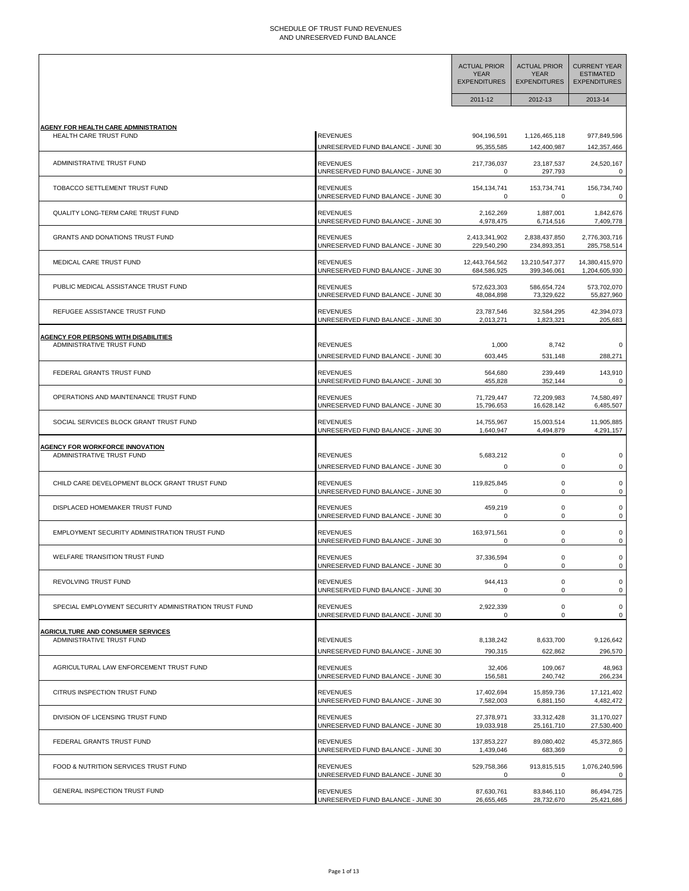## SCHEDULE OF TRUST FUND REVENUES AND UNRESERVED FUND BALANCE

|                                                       |                                                      | <b>ACTUAL PRIOR</b><br><b>YEAR</b><br><b>EXPENDITURES</b> | <b>ACTUAL PRIOR</b><br><b>YEAR</b><br><b>EXPENDITURES</b> | <b>CURRENT YEAR</b><br><b>ESTIMATED</b><br><b>EXPENDITURES</b> |
|-------------------------------------------------------|------------------------------------------------------|-----------------------------------------------------------|-----------------------------------------------------------|----------------------------------------------------------------|
|                                                       |                                                      | 2011-12                                                   | 2012-13                                                   | 2013-14                                                        |
|                                                       |                                                      |                                                           |                                                           |                                                                |
| <b>AGENY FOR HEALTH CARE ADMINISTRATION</b>           | <b>REVENUES</b>                                      | 904,196,591                                               | 1,126,465,118                                             | 977,849,596                                                    |
| HEALTH CARE TRUST FUND                                | UNRESERVED FUND BALANCE - JUNE 30                    | 95,355,585                                                | 142,400,987                                               | 142,357,466                                                    |
| ADMINISTRATIVE TRUST FUND                             | <b>REVENUES</b><br>UNRESERVED FUND BALANCE - JUNE 30 | 217,736,037<br>0                                          | 23, 187, 537<br>297,793                                   | 24,520,167                                                     |
| TOBACCO SETTLEMENT TRUST FUND                         | <b>REVENUES</b>                                      | 154,134,741                                               | 153,734,741                                               | 156,734,740                                                    |
|                                                       | UNRESERVED FUND BALANCE - JUNE 30                    | $\Omega$                                                  | $\Omega$                                                  | 0                                                              |
| QUALITY LONG-TERM CARE TRUST FUND                     | <b>REVENUES</b>                                      | 2,162,269                                                 | 1,887,001                                                 | 1,842,676                                                      |
|                                                       | UNRESERVED FUND BALANCE - JUNE 30                    | 4,978,475                                                 | 6,714,516                                                 | 7,409,778                                                      |
| GRANTS AND DONATIONS TRUST FUND                       | <b>REVENUES</b>                                      | 2,413,341,902                                             | 2,838,437,850                                             | 2,776,303,716                                                  |
|                                                       | UNRESERVED FUND BALANCE - JUNE 30                    | 229,540,290                                               | 234,893,351                                               | 285,758,514                                                    |
| MEDICAL CARE TRUST FUND                               | <b>REVENUES</b>                                      | 12,443,764,562                                            | 13,210,547,377                                            | 14,380,415,970                                                 |
|                                                       | UNRESERVED FUND BALANCE - JUNE 30                    | 684,586,925                                               | 399,346,061                                               | 1,204,605,930                                                  |
| PUBLIC MEDICAL ASSISTANCE TRUST FUND                  | <b>REVENUES</b>                                      | 572,623,303                                               | 586,654,724                                               | 573,702,070                                                    |
|                                                       | UNRESERVED FUND BALANCE - JUNE 30                    | 48,084,898                                                | 73,329,622                                                | 55,827,960                                                     |
| REFUGEE ASSISTANCE TRUST FUND                         | <b>REVENUES</b>                                      | 23,787,546                                                | 32,584,295                                                | 42,394,073                                                     |
|                                                       | UNRESERVED FUND BALANCE - JUNE 30                    | 2,013,271                                                 | 1,823,321                                                 | 205,683                                                        |
| <b>AGENCY FOR PERSONS WITH DISABILITIES</b>           | <b>REVENUES</b>                                      | 1,000                                                     | 8,742                                                     | $\Omega$                                                       |
| ADMINISTRATIVE TRUST FUND                             | UNRESERVED FUND BALANCE - JUNE 30                    | 603,445                                                   | 531,148                                                   | 288,271                                                        |
| FEDERAL GRANTS TRUST FUND                             | <b>REVENUES</b><br>UNRESERVED FUND BALANCE - JUNE 30 | 564,680<br>455,828                                        | 239,449<br>352,144                                        | 143,910                                                        |
| OPERATIONS AND MAINTENANCE TRUST FUND                 | <b>REVENUES</b>                                      | 71,729,447                                                | 72,209,983                                                | 74,580,497                                                     |
|                                                       | UNRESERVED FUND BALANCE - JUNE 30                    | 15,796,653                                                | 16,628,142                                                | 6,485,507                                                      |
| SOCIAL SERVICES BLOCK GRANT TRUST FUND                | <b>REVENUES</b>                                      | 14,755,967                                                | 15,003,514                                                | 11,905,885                                                     |
|                                                       | UNRESERVED FUND BALANCE - JUNE 30                    | 1,640,947                                                 | 4,494,879                                                 | 4,291,157                                                      |
| <b>AGENCY FOR WORKFORCE INNOVATION</b>                | REVENUES                                             | 5,683,212                                                 | $\mathbf 0$                                               | 0                                                              |
| ADMINISTRATIVE TRUST FUND                             | UNRESERVED FUND BALANCE - JUNE 30                    | 0                                                         | 0                                                         | 0                                                              |
| CHILD CARE DEVELOPMENT BLOCK GRANT TRUST FUND         | <b>REVENUES</b>                                      | 119,825,845                                               | 0                                                         | 0                                                              |
|                                                       | UNRESERVED FUND BALANCE - JUNE 30                    | 0                                                         | 0                                                         | 0                                                              |
| DISPLACED HOMEMAKER TRUST FUND                        | <b>REVENUES</b>                                      | 459,219                                                   | 0                                                         | 0                                                              |
|                                                       | UNRESERVED FUND BALANCE - JUNE 30                    | 0                                                         | 0                                                         | 0                                                              |
| EMPLOYMENT SECURITY ADMINISTRATION TRUST FUND         | <b>REVENUES</b>                                      | 163,971,561                                               | 0                                                         | $\mathbf 0$                                                    |
|                                                       | UNRESERVED FUND BALANCE - JUNE 30                    | 0                                                         | 0                                                         | 0                                                              |
| WELFARE TRANSITION TRUST FUND                         | REVENUES                                             | 37,336,594                                                | υ                                                         | υ                                                              |
|                                                       | UNRESERVED FUND BALANCE - JUNE 30                    | $\Omega$                                                  | 0                                                         | $\mathsf 0$                                                    |
| REVOLVING TRUST FUND                                  | <b>REVENUES</b>                                      | 944,413                                                   | 0                                                         | $\mathsf 0$                                                    |
|                                                       | UNRESERVED FUND BALANCE - JUNE 30                    | $\mathbf 0$                                               | 0                                                         | $\mathbf 0$                                                    |
| SPECIAL EMPLOYMENT SECURITY ADMINISTRATION TRUST FUND | <b>REVENUES</b>                                      | 2,922,339                                                 | 0                                                         | $\mathbf 0$                                                    |
|                                                       | UNRESERVED FUND BALANCE - JUNE 30                    | $\mathbf 0$                                               | 0                                                         | $\mathbf 0$                                                    |
| <b>AGRICULTURE AND CONSUMER SERVICES</b>              | <b>REVENUES</b>                                      | 8,138,242                                                 | 8,633,700                                                 | 9,126,642                                                      |
| ADMINISTRATIVE TRUST FUND                             | UNRESERVED FUND BALANCE - JUNE 30                    | 790,315                                                   | 622,862                                                   | 296,570                                                        |
| AGRICULTURAL LAW ENFORCEMENT TRUST FUND               | <b>REVENUES</b>                                      | 32,406                                                    | 109,067                                                   | 48,963                                                         |
|                                                       | UNRESERVED FUND BALANCE - JUNE 30                    | 156,581                                                   | 240,742                                                   | 266,234                                                        |
| CITRUS INSPECTION TRUST FUND                          | <b>REVENUES</b>                                      | 17,402,694                                                | 15,859,736                                                | 17,121,402                                                     |
|                                                       | UNRESERVED FUND BALANCE - JUNE 30                    | 7,582,003                                                 | 6,881,150                                                 | 4,482,472                                                      |
| DIVISION OF LICENSING TRUST FUND                      | <b>REVENUES</b>                                      | 27,378,971                                                | 33,312,428                                                | 31,170,027                                                     |
|                                                       | UNRESERVED FUND BALANCE - JUNE 30                    | 19,033,918                                                | 25,161,710                                                | 27,530,400                                                     |
| FEDERAL GRANTS TRUST FUND                             | <b>REVENUES</b>                                      | 137,853,227                                               | 89,080,402                                                | 45,372,865                                                     |
|                                                       | UNRESERVED FUND BALANCE - JUNE 30                    | 1,439,046                                                 | 683,369                                                   | $\mathsf 0$                                                    |
| FOOD & NUTRITION SERVICES TRUST FUND                  | <b>REVENUES</b>                                      | 529,758,366                                               | 913,815,515                                               | 1,076,240,596                                                  |
|                                                       | UNRESERVED FUND BALANCE - JUNE 30                    | 0                                                         | 0                                                         | 0                                                              |
| GENERAL INSPECTION TRUST FUND                         | <b>REVENUES</b>                                      | 87,630,761                                                | 83,846,110                                                | 86,494,725                                                     |
|                                                       | UNRESERVED FUND BALANCE - JUNE 30                    | 26,655,465                                                | 28,732,670                                                | 25,421,686                                                     |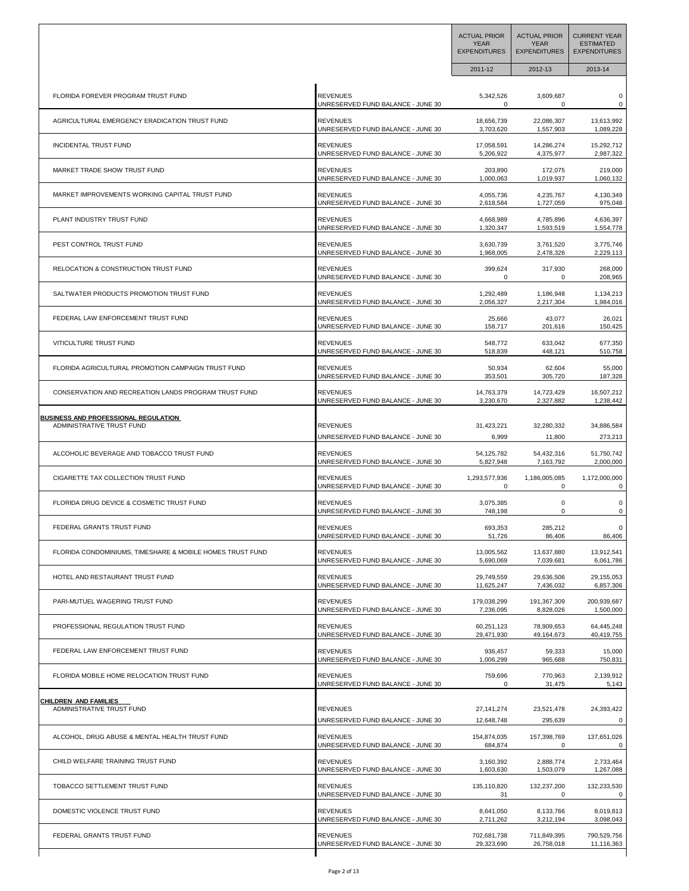|                                                           |                                               | <b>ACTUAL PRIOR</b><br><b>YEAR</b><br><b>EXPENDITURES</b> | <b>ACTUAL PRIOR</b><br><b>YEAR</b><br><b>EXPENDITURES</b> | <b>CURRENT YEAR</b><br><b>ESTIMATED</b><br><b>EXPENDITURES</b> |
|-----------------------------------------------------------|-----------------------------------------------|-----------------------------------------------------------|-----------------------------------------------------------|----------------------------------------------------------------|
|                                                           |                                               | 2011-12                                                   | 2012-13                                                   | 2013-14                                                        |
| FLORIDA FOREVER PROGRAM TRUST FUND                        | <b>REVENUES</b>                               | 5,342,526                                                 | 3,609,687                                                 | $\pmb{0}$                                                      |
|                                                           | UNRESERVED FUND BALANCE - JUNE 30             | $\Omega$                                                  | 0                                                         | 0                                                              |
| AGRICULTURAL EMERGENCY ERADICATION TRUST FUND             | <b>REVENUES</b>                               | 18,656,739                                                | 22,086,307                                                | 13,613,992                                                     |
|                                                           | UNRESERVED FUND BALANCE - JUNE 30             | 3,703,620                                                 | 1,557,903                                                 | 1,089,228                                                      |
| <b>INCIDENTAL TRUST FUND</b>                              | <b>REVENUES</b>                               | 17,058,591                                                | 14,286,274                                                | 15,292,712                                                     |
|                                                           | UNRESERVED FUND BALANCE - JUNE 30             | 5,206,922                                                 | 4,375,977                                                 | 2,987,322                                                      |
| MARKET TRADE SHOW TRUST FUND                              | <b>REVENUES</b>                               | 203,890                                                   | 172,075                                                   | 219,000                                                        |
|                                                           | UNRESERVED FUND BALANCE - JUNE 30             | 1,000,063                                                 | 1,019,937                                                 | 1,060,132                                                      |
| MARKET IMPROVEMENTS WORKING CAPITAL TRUST FUND            | <b>REVENUES</b>                               | 4,055,736                                                 | 4,235,767                                                 | 4,130,349                                                      |
|                                                           | UNRESERVED FUND BALANCE - JUNE 30             | 2,618,584                                                 | 1,727,059                                                 | 975,048                                                        |
| PLANT INDUSTRY TRUST FUND                                 | <b>REVENUES</b>                               | 4,668,989                                                 | 4,785,896                                                 | 4,636,397                                                      |
|                                                           | UNRESERVED FUND BALANCE - JUNE 30             | 1,320,347                                                 | 1,593,519                                                 | 1,554,778                                                      |
| PEST CONTROL TRUST FUND                                   | <b>REVENUES</b>                               | 3,630,739                                                 | 3,761,520                                                 | 3,775,746                                                      |
|                                                           | UNRESERVED FUND BALANCE - JUNE 30             | 1,968,005                                                 | 2,478,326                                                 | 2,229,113                                                      |
| RELOCATION & CONSTRUCTION TRUST FUND                      | <b>REVENUES</b>                               | 399,624                                                   | 317,930                                                   | 268,000                                                        |
|                                                           | UNRESERVED FUND BALANCE - JUNE 30             | 0                                                         | 0                                                         | 208,965                                                        |
| SALTWATER PRODUCTS PROMOTION TRUST FUND                   | <b>REVENUES</b>                               | 1,292,489                                                 | 1,186,948                                                 | 1,134,213                                                      |
|                                                           | UNRESERVED FUND BALANCE - JUNE 30             | 2,056,327                                                 | 2,217,304                                                 | 1,984,016                                                      |
| FEDERAL LAW ENFORCEMENT TRUST FUND                        | <b>REVENUES</b>                               | 25,666                                                    | 43,077                                                    | 26,021                                                         |
|                                                           | UNRESERVED FUND BALANCE - JUNE 30             | 158,717                                                   | 201,616                                                   | 150,425                                                        |
| VITICULTURE TRUST FUND                                    | <b>REVENUES</b>                               | 548,772                                                   | 633,042                                                   | 677,350                                                        |
|                                                           | UNRESERVED FUND BALANCE - JUNE 30             | 518,839                                                   | 448,121                                                   | 510,758                                                        |
| FLORIDA AGRICULTURAL PROMOTION CAMPAIGN TRUST FUND        | <b>REVENUES</b>                               | 50,934                                                    | 62,604                                                    | 55,000                                                         |
|                                                           | UNRESERVED FUND BALANCE - JUNE 30             | 353,501                                                   | 305,720                                                   | 187,328                                                        |
| CONSERVATION AND RECREATION LANDS PROGRAM TRUST FUND      | <b>REVENUES</b>                               | 14,763,379                                                | 14,723,429                                                | 16,507,212                                                     |
|                                                           | UNRESERVED FUND BALANCE - JUNE 30             | 3,230,670                                                 | 2,327,882                                                 | 1,238,442                                                      |
| <b>BUSINESS AND PROFESSIONAL REGULATION</b>               | <b>REVENUES</b>                               | 31,423,221                                                | 32,280,332                                                | 34,886,584                                                     |
| ADMINISTRATIVE TRUST FUND                                 | UNRESERVED FUND BALANCE - JUNE 30             | 6,999                                                     | 11,800                                                    | 273,213                                                        |
| ALCOHOLIC BEVERAGE AND TOBACCO TRUST FUND                 | <b>REVENUES</b>                               | 54,125,782                                                | 54,432,316                                                | 51,750,742                                                     |
|                                                           | UNRESERVED FUND BALANCE - JUNE 30             | 5,827,948                                                 | 7,163,792                                                 | 2,000,000                                                      |
| CIGARETTE TAX COLLECTION TRUST FUND                       | <b>REVENUES</b>                               | 1,293,577,936                                             | 1,186,005,085                                             | 1,172,000,000                                                  |
|                                                           | UNRESERVED FUND BALANCE - JUNE 30             | 0                                                         | 0                                                         | 0                                                              |
| FLORIDA DRUG DEVICE & COSMETIC TRUST FUND                 | <b>REVENUES</b>                               | 3,075,385                                                 | 0                                                         | 0                                                              |
|                                                           | UNRESERVED FUND BALANCE - JUNE 30             | 748,198                                                   | 0                                                         | 0                                                              |
| FEDERAL GRANTS TRUST FUND                                 | REVENUES<br>UNRESERVED FUND BALANCE - JUNE 30 | 693,353<br>51,726                                         | 285.212<br>86,406                                         | 86,406                                                         |
| FLORIDA CONDOMINIUMS, TIMESHARE & MOBILE HOMES TRUST FUND | <b>REVENUES</b>                               | 13,005,562                                                | 13,637,880                                                | 13,912,541                                                     |
|                                                           | UNRESERVED FUND BALANCE - JUNE 30             | 5,690,069                                                 | 7,039,681                                                 | 6,061,786                                                      |
| HOTEL AND RESTAURANT TRUST FUND                           | <b>REVENUES</b>                               | 29,749,559                                                | 29,636,506                                                | 29,155,053                                                     |
|                                                           | UNRESERVED FUND BALANCE - JUNE 30             | 11,625,247                                                | 7,436,032                                                 | 6,857,306                                                      |
| PARI-MUTUEL WAGERING TRUST FUND                           | <b>REVENUES</b>                               | 179,038,299                                               | 191,367,309                                               | 200,939,687                                                    |
|                                                           | UNRESERVED FUND BALANCE - JUNE 30             | 7,236,095                                                 | 8,828,026                                                 | 1,500,000                                                      |
| PROFESSIONAL REGULATION TRUST FUND                        | <b>REVENUES</b>                               | 60,251,123                                                | 78,909,653                                                | 64,445,248                                                     |
|                                                           | UNRESERVED FUND BALANCE - JUNE 30             | 29,471,930                                                | 49,164,673                                                | 40,419,755                                                     |
| FEDERAL LAW ENFORCEMENT TRUST FUND                        | <b>REVENUES</b>                               | 936,457                                                   | 59,333                                                    | 15,000                                                         |
|                                                           | UNRESERVED FUND BALANCE - JUNE 30             | 1,006,299                                                 | 965,688                                                   | 750,831                                                        |
| FLORIDA MOBILE HOME RELOCATION TRUST FUND                 | <b>REVENUES</b>                               | 759,696                                                   | 770,963                                                   | 2,139,912                                                      |
|                                                           | UNRESERVED FUND BALANCE - JUNE 30             | 0                                                         | 31,475                                                    | 5,143                                                          |
| <b>CHILDREN AND FAMILIES</b>                              | <b>REVENUES</b>                               | 27, 141, 274                                              | 23,521,478                                                | 24,393,422                                                     |
| ADMINISTRATIVE TRUST FUND                                 | UNRESERVED FUND BALANCE - JUNE 30             | 12,648,748                                                | 295,639                                                   | 0                                                              |
| ALCOHOL, DRUG ABUSE & MENTAL HEALTH TRUST FUND            | <b>REVENUES</b>                               | 154,874,035                                               | 157,398,769                                               | 137,651,026                                                    |
|                                                           | UNRESERVED FUND BALANCE - JUNE 30             | 684,874                                                   | $\mathbf 0$                                               | 0                                                              |
| CHILD WELFARE TRAINING TRUST FUND                         | <b>REVENUES</b>                               | 3,160,392                                                 | 2,888,774                                                 | 2,733,464                                                      |
|                                                           | UNRESERVED FUND BALANCE - JUNE 30             | 1,603,630                                                 | 1,503,079                                                 | 1,267,088                                                      |
| TOBACCO SETTLEMENT TRUST FUND                             | <b>REVENUES</b>                               | 135,110,820                                               | 132,237,200                                               | 132,233,530                                                    |
|                                                           | UNRESERVED FUND BALANCE - JUNE 30             | 31                                                        | $\Omega$                                                  | 0                                                              |
| DOMESTIC VIOLENCE TRUST FUND                              | <b>REVENUES</b>                               | 8,641,050                                                 | 8,133,766                                                 | 8,019,813                                                      |
|                                                           | UNRESERVED FUND BALANCE - JUNE 30             | 2,711,262                                                 | 3,212,194                                                 | 3,098,043                                                      |
| FEDERAL GRANTS TRUST FUND                                 | <b>REVENUES</b>                               | 702,681,738                                               | 711,849,395                                               | 790,529,756                                                    |
|                                                           | UNRESERVED FUND BALANCE - JUNE 30             | 29,323,690                                                | 26,758,018                                                | 11,116,363                                                     |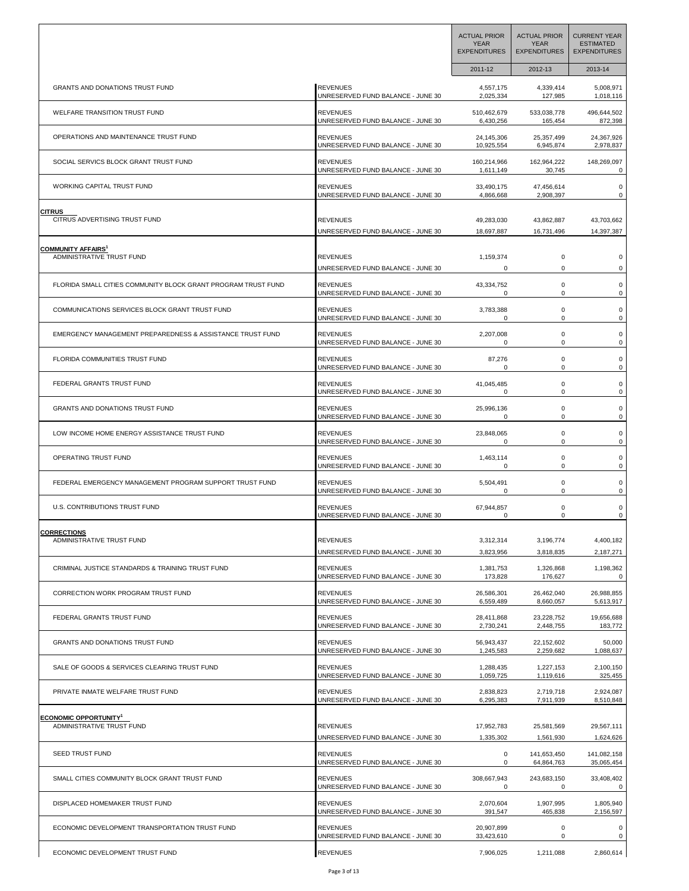|                                                               |                                   | <b>ACTUAL PRIOR</b><br><b>YEAR</b><br><b>EXPENDITURES</b> | <b>ACTUAL PRIOR</b><br><b>YEAR</b><br><b>EXPENDITURES</b> | <b>CURRENT YEAR</b><br><b>ESTIMATED</b><br><b>EXPENDITURES</b> |
|---------------------------------------------------------------|-----------------------------------|-----------------------------------------------------------|-----------------------------------------------------------|----------------------------------------------------------------|
|                                                               |                                   | 2011-12                                                   | 2012-13                                                   | 2013-14                                                        |
| GRANTS AND DONATIONS TRUST FUND                               | <b>REVENUES</b>                   | 4,557,175                                                 | 4,339,414                                                 | 5,008,971                                                      |
|                                                               | UNRESERVED FUND BALANCE - JUNE 30 | 2,025,334                                                 | 127,985                                                   | 1,018,116                                                      |
| <b>WELFARE TRANSITION TRUST FUND</b>                          | <b>REVENUES</b>                   | 510,462,679                                               | 533,038,778                                               | 496,644,502                                                    |
|                                                               | UNRESERVED FUND BALANCE - JUNE 30 | 6,430,256                                                 | 165,454                                                   | 872,398                                                        |
| OPERATIONS AND MAINTENANCE TRUST FUND                         | <b>REVENUES</b>                   | 24,145,306                                                | 25,357,499                                                | 24,367,926                                                     |
|                                                               | UNRESERVED FUND BALANCE - JUNE 30 | 10,925,554                                                | 6,945,874                                                 | 2,978,837                                                      |
| SOCIAL SERVICS BLOCK GRANT TRUST FUND                         | <b>REVENUES</b>                   | 160,214,966                                               | 162,964,222                                               | 148,269,097                                                    |
|                                                               | UNRESERVED FUND BALANCE - JUNE 30 | 1,611,149                                                 | 30,745                                                    | 0                                                              |
| WORKING CAPITAL TRUST FUND                                    | <b>REVENUES</b>                   | 33,490,175                                                | 47,456,614                                                | 0                                                              |
|                                                               | UNRESERVED FUND BALANCE - JUNE 30 | 4,866,668                                                 | 2,908,397                                                 | 0                                                              |
| <b>CITRUS</b>                                                 | <b>REVENUES</b>                   | 49,283,030                                                | 43,862,887                                                | 43,703,662                                                     |
| CITRUS ADVERTISING TRUST FUND                                 | UNRESERVED FUND BALANCE - JUNE 30 | 18,697,887                                                | 16,731,496                                                | 14,397,387                                                     |
| <b>COMMUNITY AFFAIRS<sup>1</sup></b>                          | <b>REVENUES</b>                   | 1,159,374                                                 | 0                                                         | 0                                                              |
| ADMINISTRATIVE TRUST FUND                                     | UNRESERVED FUND BALANCE - JUNE 30 | 0                                                         | 0                                                         | 0                                                              |
| FLORIDA SMALL CITIES COMMUNITY BLOCK GRANT PROGRAM TRUST FUND | REVENUES                          | 43,334,752                                                | 0                                                         | 0                                                              |
|                                                               | UNRESERVED FUND BALANCE - JUNE 30 | $\mathbf 0$                                               | $\mathbf 0$                                               | 0                                                              |
| COMMUNICATIONS SERVICES BLOCK GRANT TRUST FUND                | <b>REVENUES</b>                   | 3,783,388                                                 | $\mathsf 0$                                               | 0                                                              |
|                                                               | UNRESERVED FUND BALANCE - JUNE 30 | 0                                                         | 0                                                         | 0                                                              |
| EMERGENCY MANAGEMENT PREPAREDNESS & ASSISTANCE TRUST FUND     | <b>REVENUES</b>                   | 2,207,008                                                 | $\mathsf 0$                                               | 0                                                              |
|                                                               | UNRESERVED FUND BALANCE - JUNE 30 | 0                                                         | 0                                                         | 0                                                              |
| FLORIDA COMMUNITIES TRUST FUND                                | REVENUES                          | 87,276                                                    | $\mathsf 0$                                               | $\mathbf 0$                                                    |
|                                                               | UNRESERVED FUND BALANCE - JUNE 30 | 0                                                         | 0                                                         | 0                                                              |
| FEDERAL GRANTS TRUST FUND                                     | <b>REVENUES</b>                   | 41,045,485                                                | $\mathsf 0$                                               | 0                                                              |
|                                                               | UNRESERVED FUND BALANCE - JUNE 30 | 0                                                         | 0                                                         | 0                                                              |
| GRANTS AND DONATIONS TRUST FUND                               | <b>REVENUES</b>                   | 25,996,136                                                | $\mathsf 0$                                               | 0                                                              |
|                                                               | UNRESERVED FUND BALANCE - JUNE 30 | 0                                                         | 0                                                         | 0                                                              |
| LOW INCOME HOME ENERGY ASSISTANCE TRUST FUND                  | <b>REVENUES</b>                   | 23,848,065                                                | 0                                                         | 0                                                              |
|                                                               | UNRESERVED FUND BALANCE - JUNE 30 | 0                                                         | 0                                                         | 0                                                              |
| OPERATING TRUST FUND                                          | <b>REVENUES</b>                   | 1,463,114                                                 | $\mathsf 0$                                               | 0                                                              |
|                                                               | UNRESERVED FUND BALANCE - JUNE 30 | 0                                                         | 0                                                         | 0                                                              |
| FEDERAL EMERGENCY MANAGEMENT PROGRAM SUPPORT TRUST FUND       | <b>REVENUES</b>                   | 5,504,491                                                 | $\mathsf 0$                                               | 0                                                              |
|                                                               | UNRESERVED FUND BALANCE - JUNE 30 | 0                                                         | 0                                                         | 0                                                              |
| U.S. CONTRIBUTIONS TRUST FUND                                 | <b>REVENUES</b>                   | 67,944,857                                                | 0                                                         | 0                                                              |
|                                                               | UNRESERVED FUND BALANCE - JUNE 30 | 0                                                         | 0                                                         | 0                                                              |
| <b>CORRECTIONS</b>                                            | <b>REVENUES</b>                   | 3,312,314                                                 | 3,196,774                                                 | 4,400,182                                                      |
| <b>ADMINISTRATIVE TRUST FUND</b>                              | UNRESERVED FUND BALANCE - JUNE 30 | 3,823,956                                                 | 3,818,835                                                 | 2,187,271                                                      |
| CRIMINAL JUSTICE STANDARDS & TRAINING TRUST FUND              | <b>REVENUES</b>                   | 1,381,753                                                 | 1,326,868                                                 | 1,198,362                                                      |
|                                                               | UNRESERVED FUND BALANCE - JUNE 30 | 173,828                                                   | 176,627                                                   | 0                                                              |
| CORRECTION WORK PROGRAM TRUST FUND                            | <b>REVENUES</b>                   | 26,586,301                                                | 26,462,040                                                | 26,988,855                                                     |
|                                                               | UNRESERVED FUND BALANCE - JUNE 30 | 6,559,489                                                 | 8,660,057                                                 | 5,613,917                                                      |
| FEDERAL GRANTS TRUST FUND                                     | <b>REVENUES</b>                   | 28,411,868                                                | 23,228,752                                                | 19,656,688                                                     |
|                                                               | UNRESERVED FUND BALANCE - JUNE 30 | 2,730,241                                                 | 2,448,755                                                 | 183,772                                                        |
| <b>GRANTS AND DONATIONS TRUST FUND</b>                        | <b>REVENUES</b>                   | 56,943,437                                                | 22,152,602                                                | 50,000                                                         |
|                                                               | UNRESERVED FUND BALANCE - JUNE 30 | 1,245,583                                                 | 2,259,682                                                 | 1,088,637                                                      |
| SALE OF GOODS & SERVICES CLEARING TRUST FUND                  | <b>REVENUES</b>                   | 1,288,435                                                 | 1,227,153                                                 | 2,100,150                                                      |
|                                                               | UNRESERVED FUND BALANCE - JUNE 30 | 1,059,725                                                 | 1,119,616                                                 | 325,455                                                        |
| PRIVATE INMATE WELFARE TRUST FUND                             | <b>REVENUES</b>                   | 2,838,823                                                 | 2,719,718                                                 | 2,924,087                                                      |
|                                                               | UNRESERVED FUND BALANCE - JUNE 30 | 6,295,383                                                 | 7,911,939                                                 | 8,510,848                                                      |
| <b>ECONOMIC OPPORTUNITY</b>                                   | <b>REVENUES</b>                   | 17,952,783                                                | 25,581,569                                                | 29,567,111                                                     |
| ADMINISTRATIVE TRUST FUND                                     | UNRESERVED FUND BALANCE - JUNE 30 | 1,335,302                                                 | 1,561,930                                                 | 1,624,626                                                      |
| SEED TRUST FUND                                               | <b>REVENUES</b>                   | 0                                                         | 141,653,450                                               | 141,082,158                                                    |
|                                                               | UNRESERVED FUND BALANCE - JUNE 30 | 0                                                         | 64,864,763                                                | 35,065,454                                                     |
| SMALL CITIES COMMUNITY BLOCK GRANT TRUST FUND                 | <b>REVENUES</b>                   | 308,667,943                                               | 243,683,150                                               | 33,408,402                                                     |
|                                                               | UNRESERVED FUND BALANCE - JUNE 30 | 0                                                         | 0                                                         | 0                                                              |
| DISPLACED HOMEMAKER TRUST FUND                                | <b>REVENUES</b>                   | 2,070,604                                                 | 1,907,995                                                 | 1,805,940                                                      |
|                                                               | UNRESERVED FUND BALANCE - JUNE 30 | 391,547                                                   | 465,838                                                   | 2,156,597                                                      |
| ECONOMIC DEVELOPMENT TRANSPORTATION TRUST FUND                | <b>REVENUES</b>                   | 20,907,899                                                | $\mathsf 0$                                               | 0                                                              |
|                                                               | UNRESERVED FUND BALANCE - JUNE 30 | 33,423,610                                                | $\mathbf 0$                                               | 0                                                              |
| ECONOMIC DEVELOPMENT TRUST FUND                               | <b>REVENUES</b>                   | 7,906,025                                                 | 1,211,088                                                 | 2,860,614                                                      |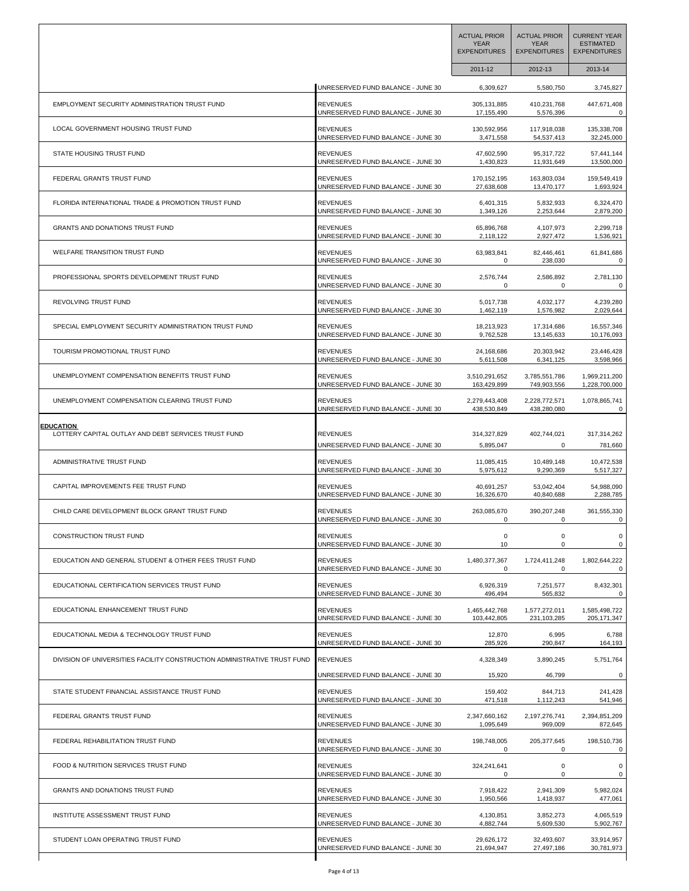|                                                                          |                                   | <b>ACTUAL PRIOR</b><br><b>YEAR</b><br><b>EXPENDITURES</b> | <b>ACTUAL PRIOR</b><br><b>YEAR</b><br><b>EXPENDITURES</b> | <b>CURRENT YEAR</b><br><b>ESTIMATED</b><br><b>EXPENDITURES</b> |
|--------------------------------------------------------------------------|-----------------------------------|-----------------------------------------------------------|-----------------------------------------------------------|----------------------------------------------------------------|
|                                                                          |                                   | 2011-12                                                   | 2012-13                                                   | 2013-14                                                        |
|                                                                          | UNRESERVED FUND BALANCE - JUNE 30 | 6,309,627                                                 | 5,580,750                                                 | 3,745,827                                                      |
| EMPLOYMENT SECURITY ADMINISTRATION TRUST FUND                            | <b>REVENUES</b>                   | 305,131,885                                               | 410,231,768                                               | 447,671,408                                                    |
|                                                                          | UNRESERVED FUND BALANCE - JUNE 30 | 17,155,490                                                | 5,576,396                                                 | 0                                                              |
| LOCAL GOVERNMENT HOUSING TRUST FUND                                      | <b>REVENUES</b>                   | 130,592,956                                               | 117,918,038                                               | 135,338,708                                                    |
|                                                                          | UNRESERVED FUND BALANCE - JUNE 30 | 3,471,558                                                 | 54,537,413                                                | 32,245,000                                                     |
| STATE HOUSING TRUST FUND                                                 | <b>REVENUES</b>                   | 47,602,590                                                | 95,317,722                                                | 57,441,144                                                     |
|                                                                          | UNRESERVED FUND BALANCE - JUNE 30 | 1,430,823                                                 | 11,931,649                                                | 13,500,000                                                     |
| FEDERAL GRANTS TRUST FUND                                                | <b>REVENUES</b>                   | 170,152,195                                               | 163,803,034                                               | 159,549,419                                                    |
|                                                                          | UNRESERVED FUND BALANCE - JUNE 30 | 27,638,608                                                | 13,470,177                                                | 1,693,924                                                      |
| FLORIDA INTERNATIONAL TRADE & PROMOTION TRUST FUND                       | <b>REVENUES</b>                   | 6,401,315                                                 | 5,832,933                                                 | 6,324,470                                                      |
|                                                                          | UNRESERVED FUND BALANCE - JUNE 30 | 1,349,126                                                 | 2,253,644                                                 | 2,879,200                                                      |
| GRANTS AND DONATIONS TRUST FUND                                          | <b>REVENUES</b>                   | 65,896,768                                                | 4,107,973                                                 | 2,299,718                                                      |
|                                                                          | UNRESERVED FUND BALANCE - JUNE 30 | 2,118,122                                                 | 2,927,472                                                 | 1,536,921                                                      |
| WELFARE TRANSITION TRUST FUND                                            | <b>REVENUES</b>                   | 63,983,841                                                | 82,446,461                                                | 61,841,686                                                     |
|                                                                          | UNRESERVED FUND BALANCE - JUNE 30 | 0                                                         | 238,030                                                   | 0                                                              |
| PROFESSIONAL SPORTS DEVELOPMENT TRUST FUND                               | <b>REVENUES</b>                   | 2,576,744                                                 | 2,586,892                                                 | 2,781,130                                                      |
|                                                                          | UNRESERVED FUND BALANCE - JUNE 30 | 0                                                         | 0                                                         | 0                                                              |
| REVOLVING TRUST FUND                                                     | <b>REVENUES</b>                   | 5,017,738                                                 | 4,032,177                                                 | 4,239,280                                                      |
|                                                                          | UNRESERVED FUND BALANCE - JUNE 30 | 1,462,119                                                 | 1,576,982                                                 | 2,029,644                                                      |
| SPECIAL EMPLOYMENT SECURITY ADMINISTRATION TRUST FUND                    | <b>REVENUES</b>                   | 18,213,923                                                | 17,314,686                                                | 16,557,346                                                     |
|                                                                          | UNRESERVED FUND BALANCE - JUNE 30 | 9,762,528                                                 | 13,145,633                                                | 10,176,093                                                     |
| TOURISM PROMOTIONAL TRUST FUND                                           | <b>REVENUES</b>                   | 24,168,686                                                | 20,303,942                                                | 23,446,428                                                     |
|                                                                          | UNRESERVED FUND BALANCE - JUNE 30 | 5,611,508                                                 | 6,341,125                                                 | 3,598,966                                                      |
| UNEMPLOYMENT COMPENSATION BENEFITS TRUST FUND                            | <b>REVENUES</b>                   | 3,510,291,652                                             | 3,785,551,786                                             | 1,969,211,200                                                  |
|                                                                          | UNRESERVED FUND BALANCE - JUNE 30 | 163,429,899                                               | 749,903,556                                               | 1,228,700,000                                                  |
| UNEMPLOYMENT COMPENSATION CLEARING TRUST FUND                            | <b>REVENUES</b>                   | 2,279,443,408                                             | 2,228,772,571                                             | 1,078,865,741                                                  |
|                                                                          | UNRESERVED FUND BALANCE - JUNE 30 | 438,530,849                                               | 438,280,080                                               | 0                                                              |
| <b>EDUCATION</b>                                                         | <b>REVENUES</b>                   | 314,327,829                                               | 402,744,021                                               | 317,314,262                                                    |
| LOTTERY CAPITAL OUTLAY AND DEBT SERVICES TRUST FUND                      | UNRESERVED FUND BALANCE - JUNE 30 | 5,895,047                                                 | 0                                                         | 781,660                                                        |
| ADMINISTRATIVE TRUST FUND                                                | <b>REVENUES</b>                   | 11,085,415                                                | 10,489,148                                                | 10,472,538                                                     |
|                                                                          | UNRESERVED FUND BALANCE - JUNE 30 | 5,975,612                                                 | 9,290,369                                                 | 5,517,327                                                      |
| CAPITAL IMPROVEMENTS FEE TRUST FUND                                      | <b>REVENUES</b>                   | 40,691,257                                                | 53,042,404                                                | 54,988,090                                                     |
|                                                                          | UNRESERVED FUND BALANCE - JUNE 30 | 16,326,670                                                | 40,840,688                                                | 2,288,785                                                      |
| CHILD CARE DEVELOPMENT BLOCK GRANT TRUST FUND                            | <b>REVENUES</b>                   | 263,085,670                                               | 390,207,248                                               | 361,555,330                                                    |
|                                                                          | UNRESERVED FUND BALANCE - JUNE 30 | 0                                                         | 0                                                         | 0                                                              |
| <b>CONSTRUCTION TRUST FUND</b>                                           | <b>REVENUES</b>                   | 0                                                         | $\mathbf 0$                                               | $\mathsf 0$                                                    |
|                                                                          | UNRESERVED FUND BALANCE - JUNE 30 | 10                                                        | $\Omega$                                                  | 0                                                              |
| EDUCATION AND GENERAL STUDENT & OTHER FEES TRUST FUND                    | <b>REVENUES</b>                   | 1,480,377,367                                             | 1,724,411,248                                             | 1,802,644,222                                                  |
|                                                                          | UNRESERVED FUND BALANCE - JUNE 30 | 0                                                         | 0                                                         | $\mathsf 0$                                                    |
| EDUCATIONAL CERTIFICATION SERVICES TRUST FUND                            | <b>REVENUES</b>                   | 6,926,319                                                 | 7,251,577                                                 | 8,432,301                                                      |
|                                                                          | UNRESERVED FUND BALANCE - JUNE 30 | 496,494                                                   | 565,832                                                   | $\mathbf 0$                                                    |
| EDUCATIONAL ENHANCEMENT TRUST FUND                                       | <b>REVENUES</b>                   | 1,465,442,768                                             | 1,577,272,011                                             | 1,585,498,722                                                  |
|                                                                          | UNRESERVED FUND BALANCE - JUNE 30 | 103,442,805                                               | 231,103,285                                               | 205, 171, 347                                                  |
| EDUCATIONAL MEDIA & TECHNOLOGY TRUST FUND                                | <b>REVENUES</b>                   | 12,870                                                    | 6,995                                                     | 6,788                                                          |
|                                                                          | UNRESERVED FUND BALANCE - JUNE 30 | 285,926                                                   | 290,847                                                   | 164,193                                                        |
| DIVISION OF UNIVERSITIES FACILITY CONSTRUCTION ADMINISTRATIVE TRUST FUND | <b>REVENUES</b>                   | 4,328,349                                                 | 3,890,245                                                 | 5,751,764                                                      |
| STATE STUDENT FINANCIAL ASSISTANCE TRUST FUND                            | UNRESERVED FUND BALANCE - JUNE 30 | 15,920                                                    | 46,799                                                    | $\mathbf 0$                                                    |
|                                                                          | <b>REVENUES</b>                   | 159,402                                                   | 844,713                                                   | 241,428                                                        |
| FEDERAL GRANTS TRUST FUND                                                | UNRESERVED FUND BALANCE - JUNE 30 | 471,518                                                   | 1,112,243                                                 | 541,946                                                        |
|                                                                          | <b>REVENUES</b>                   | 2,347,660,162                                             | 2,197,276,741                                             | 2,394,851,209                                                  |
| FEDERAL REHABILITATION TRUST FUND                                        | UNRESERVED FUND BALANCE - JUNE 30 | 1,095,649                                                 | 969,009                                                   | 872,645                                                        |
|                                                                          | <b>REVENUES</b>                   | 198,748,005                                               | 205, 377, 645                                             | 198,510,736                                                    |
| FOOD & NUTRITION SERVICES TRUST FUND                                     | UNRESERVED FUND BALANCE - JUNE 30 | 0                                                         | 0                                                         | 0                                                              |
|                                                                          | <b>REVENUES</b>                   | 324,241,641                                               | 0                                                         | 0                                                              |
| GRANTS AND DONATIONS TRUST FUND                                          | UNRESERVED FUND BALANCE - JUNE 30 | 0                                                         | 0                                                         | 0                                                              |
|                                                                          | <b>REVENUES</b>                   | 7,918,422                                                 | 2,941,309                                                 | 5,982,024                                                      |
| INSTITUTE ASSESSMENT TRUST FUND                                          | UNRESERVED FUND BALANCE - JUNE 30 | 1,950,566                                                 | 1,418,937                                                 | 477,061                                                        |
|                                                                          | <b>REVENUES</b>                   | 4,130,851                                                 | 3,852,273                                                 | 4,065,519                                                      |
| STUDENT LOAN OPERATING TRUST FUND                                        | UNRESERVED FUND BALANCE - JUNE 30 | 4,882,744                                                 | 5,609,530                                                 | 5,902,767                                                      |
|                                                                          | <b>REVENUES</b>                   | 29,626,172                                                | 32,493,607                                                | 33,914,957                                                     |
|                                                                          | UNRESERVED FUND BALANCE - JUNE 30 | 21,694,947                                                | 27,497,186                                                | 30,781,973                                                     |
|                                                                          |                                   |                                                           |                                                           |                                                                |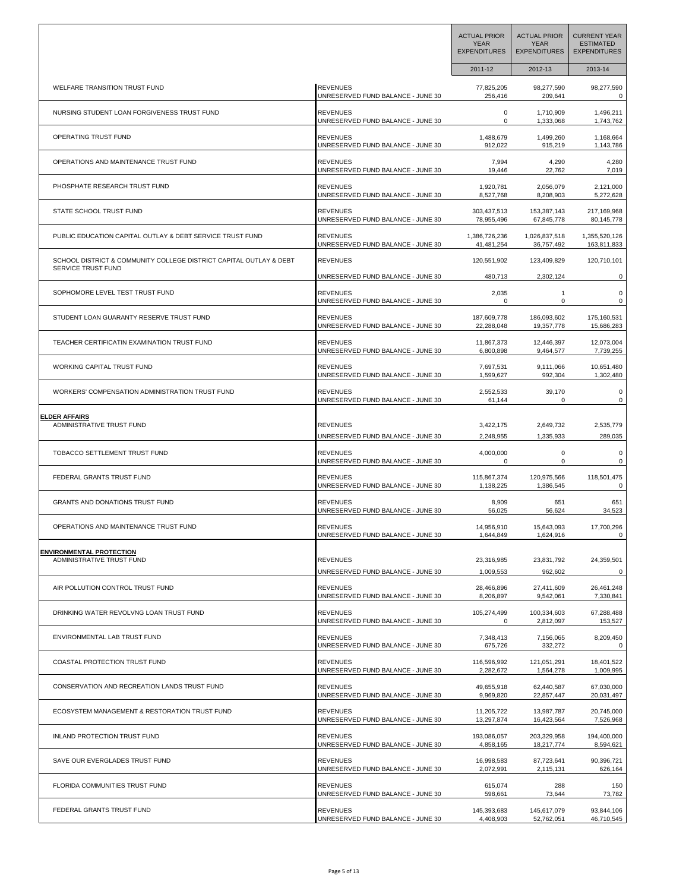|                                                                                          |                                   | <b>ACTUAL PRIOR</b><br><b>YEAR</b><br><b>EXPENDITURES</b> | <b>ACTUAL PRIOR</b><br><b>YEAR</b><br><b>EXPENDITURES</b> | <b>CURRENT YEAR</b><br><b>ESTIMATED</b><br><b>EXPENDITURES</b> |
|------------------------------------------------------------------------------------------|-----------------------------------|-----------------------------------------------------------|-----------------------------------------------------------|----------------------------------------------------------------|
|                                                                                          |                                   | 2011-12                                                   | 2012-13                                                   | 2013-14                                                        |
| <b>WELFARE TRANSITION TRUST FUND</b>                                                     | <b>REVENUES</b>                   | 77,825,205                                                | 98,277,590                                                | 98,277,590                                                     |
|                                                                                          | UNRESERVED FUND BALANCE - JUNE 30 | 256,416                                                   | 209,641                                                   | 0                                                              |
| NURSING STUDENT LOAN FORGIVENESS TRUST FUND                                              | <b>REVENUES</b>                   | 0                                                         | 1,710,909                                                 | 1,496,211                                                      |
|                                                                                          | UNRESERVED FUND BALANCE - JUNE 30 | 0                                                         | 1,333,068                                                 | 1,743,762                                                      |
| OPERATING TRUST FUND                                                                     | <b>REVENUES</b>                   | 1,488,679                                                 | 1,499,260                                                 | 1,168,664                                                      |
|                                                                                          | UNRESERVED FUND BALANCE - JUNE 30 | 912,022                                                   | 915,219                                                   | 1,143,786                                                      |
| OPERATIONS AND MAINTENANCE TRUST FUND                                                    | <b>REVENUES</b>                   | 7,994                                                     | 4,290                                                     | 4,280                                                          |
|                                                                                          | UNRESERVED FUND BALANCE - JUNE 30 | 19,446                                                    | 22,762                                                    | 7,019                                                          |
| PHOSPHATE RESEARCH TRUST FUND                                                            | <b>REVENUES</b>                   | 1,920,781                                                 | 2,056,079                                                 | 2,121,000                                                      |
|                                                                                          | UNRESERVED FUND BALANCE - JUNE 30 | 8,527,768                                                 | 8,208,903                                                 | 5,272,628                                                      |
| STATE SCHOOL TRUST FUND                                                                  | <b>REVENUES</b>                   | 303,437,513                                               | 153,387,143                                               | 217,169,968                                                    |
|                                                                                          | UNRESERVED FUND BALANCE - JUNE 30 | 78,955,496                                                | 67,845,778                                                | 80,145,778                                                     |
| PUBLIC EDUCATION CAPITAL OUTLAY & DEBT SERVICE TRUST FUND                                | <b>REVENUES</b>                   | 1,386,726,236                                             | 1,026,837,518                                             | 1,355,520,126                                                  |
|                                                                                          | UNRESERVED FUND BALANCE - JUNE 30 | 41,481,254                                                | 36,757,492                                                | 163,811,833                                                    |
| SCHOOL DISTRICT & COMMUNITY COLLEGE DISTRICT CAPITAL OUTLAY & DEBT<br>SERVICE TRUST FUND | <b>REVENUES</b>                   | 120,551,902                                               | 123,409,829                                               | 120,710,101                                                    |
| SOPHOMORE LEVEL TEST TRUST FUND                                                          | UNRESERVED FUND BALANCE - JUNE 30 | 480,713                                                   | 2,302,124                                                 | $\mathbf 0$                                                    |
|                                                                                          | <b>REVENUES</b>                   | 2,035                                                     | $\mathbf{1}$                                              | 0                                                              |
|                                                                                          | UNRESERVED FUND BALANCE - JUNE 30 | 0                                                         | 0                                                         | 0                                                              |
| STUDENT LOAN GUARANTY RESERVE TRUST FUND                                                 | <b>REVENUES</b>                   | 187,609,778                                               | 186,093,602                                               | 175,160,531                                                    |
|                                                                                          | UNRESERVED FUND BALANCE - JUNE 30 | 22,288,048                                                | 19,357,778                                                | 15,686,283                                                     |
| TEACHER CERTIFICATIN EXAMINATION TRUST FUND                                              | <b>REVENUES</b>                   | 11,867,373                                                | 12,446,397                                                | 12,073,004                                                     |
|                                                                                          | UNRESERVED FUND BALANCE - JUNE 30 | 6,800,898                                                 | 9,464,577                                                 | 7,739,255                                                      |
| WORKING CAPITAL TRUST FUND                                                               | <b>REVENUES</b>                   | 7,697,531                                                 | 9,111,066                                                 | 10,651,480                                                     |
|                                                                                          | UNRESERVED FUND BALANCE - JUNE 30 | 1,599,627                                                 | 992,304                                                   | 1,302,480                                                      |
| WORKERS' COMPENSATION ADMINISTRATION TRUST FUND                                          | <b>REVENUES</b>                   | 2,552,533                                                 | 39,170                                                    | 0                                                              |
|                                                                                          | UNRESERVED FUND BALANCE - JUNE 30 | 61,144                                                    | $\Omega$                                                  | 0                                                              |
| <b>ELDER AFFAIRS</b>                                                                     | <b>REVENUES</b>                   | 3,422,175                                                 | 2,649,732                                                 | 2,535,779                                                      |
| ADMINISTRATIVE TRUST FUND                                                                | UNRESERVED FUND BALANCE - JUNE 30 | 2,248,955                                                 | 1,335,933                                                 | 289,035                                                        |
| TOBACCO SETTLEMENT TRUST FUND                                                            | <b>REVENUES</b>                   | 4,000,000                                                 | 0                                                         | 0                                                              |
|                                                                                          | UNRESERVED FUND BALANCE - JUNE 30 | 0                                                         | 0                                                         | 0                                                              |
| FEDERAL GRANTS TRUST FUND                                                                | <b>REVENUES</b>                   | 115,867,374                                               | 120,975,566                                               | 118,501,475                                                    |
|                                                                                          | UNRESERVED FUND BALANCE - JUNE 30 | 1,138,225                                                 | 1,386,545                                                 | 0                                                              |
| GRANTS AND DONATIONS TRUST FUND                                                          | <b>REVENUES</b>                   | 8,909                                                     | 651                                                       | 651                                                            |
|                                                                                          | UNRESERVED FUND BALANCE - JUNE 30 | 56,025                                                    | 56,624                                                    | 34,523                                                         |
| OPERATIONS AND MAINTENANCE TRUST FUND                                                    | REVENUES                          | 14,956,910                                                | 15,643,093                                                | 17,700,296                                                     |
|                                                                                          | UNRESERVED FUND BALANCE - JUNE 30 | 1,644,849                                                 | 1,624,916                                                 | 0                                                              |
| <b>ENVIRONMENTAL PROTECTION</b><br>ADMINISTRATIVE TRUST FUND                             | <b>REVENUES</b>                   | 23,316,985                                                | 23,831,792                                                | 24,359,501                                                     |
|                                                                                          | UNRESERVED FUND BALANCE - JUNE 30 | 1,009,553                                                 | 962,602                                                   | 0                                                              |
| AIR POLLUTION CONTROL TRUST FUND                                                         | <b>REVENUES</b>                   | 28,466,896                                                | 27,411,609                                                | 26,461,248                                                     |
|                                                                                          | UNRESERVED FUND BALANCE - JUNE 30 | 8,206,897                                                 | 9,542,061                                                 | 7,330,841                                                      |
| DRINKING WATER REVOLVNG LOAN TRUST FUND                                                  | <b>REVENUES</b>                   | 105,274,499                                               | 100,334,603                                               | 67,288,488                                                     |
|                                                                                          | UNRESERVED FUND BALANCE - JUNE 30 | 0                                                         | 2,812,097                                                 | 153,527                                                        |
| ENVIRONMENTAL LAB TRUST FUND                                                             | <b>REVENUES</b>                   | 7,348,413                                                 | 7,156,065                                                 | 8,209,450                                                      |
|                                                                                          | UNRESERVED FUND BALANCE - JUNE 30 | 675,726                                                   | 332,272                                                   | $\mathbf{0}$                                                   |
| COASTAL PROTECTION TRUST FUND                                                            | <b>REVENUES</b>                   | 116,596,992                                               | 121,051,291                                               | 18,401,522                                                     |
|                                                                                          | UNRESERVED FUND BALANCE - JUNE 30 | 2,282,672                                                 | 1,564,278                                                 | 1,009,995                                                      |
| CONSERVATION AND RECREATION LANDS TRUST FUND                                             | <b>REVENUES</b>                   | 49,655,918                                                | 62,440,587                                                | 67,030,000                                                     |
|                                                                                          | UNRESERVED FUND BALANCE - JUNE 30 | 9,969,820                                                 | 22,857,447                                                | 20,031,497                                                     |
| ECOSYSTEM MANAGEMENT & RESTORATION TRUST FUND                                            | <b>REVENUES</b>                   | 11,205,722                                                | 13,987,787                                                | 20,745,000                                                     |
|                                                                                          | UNRESERVED FUND BALANCE - JUNE 30 | 13,297,874                                                | 16,423,564                                                | 7,526,968                                                      |
| INLAND PROTECTION TRUST FUND                                                             | <b>REVENUES</b>                   | 193,086,057                                               | 203,329,958                                               | 194,400,000                                                    |
|                                                                                          | UNRESERVED FUND BALANCE - JUNE 30 | 4,858,165                                                 | 18,217,774                                                | 8,594,621                                                      |
| SAVE OUR EVERGLADES TRUST FUND                                                           | <b>REVENUES</b>                   | 16,998,583                                                | 87,723,641                                                | 90,396,721                                                     |
|                                                                                          | UNRESERVED FUND BALANCE - JUNE 30 | 2,072,991                                                 | 2,115,131                                                 | 626,164                                                        |
| FLORIDA COMMUNITIES TRUST FUND                                                           | <b>REVENUES</b>                   | 615,074                                                   | 288                                                       | 150                                                            |
|                                                                                          | UNRESERVED FUND BALANCE - JUNE 30 | 598,661                                                   | 73,644                                                    | 73,782                                                         |
| FEDERAL GRANTS TRUST FUND                                                                | <b>REVENUES</b>                   | 145,393,683                                               | 145,617,079                                               | 93,844,106                                                     |
|                                                                                          | UNRESERVED FUND BALANCE - JUNE 30 | 4,408,903                                                 | 52,762,051                                                | 46,710,545                                                     |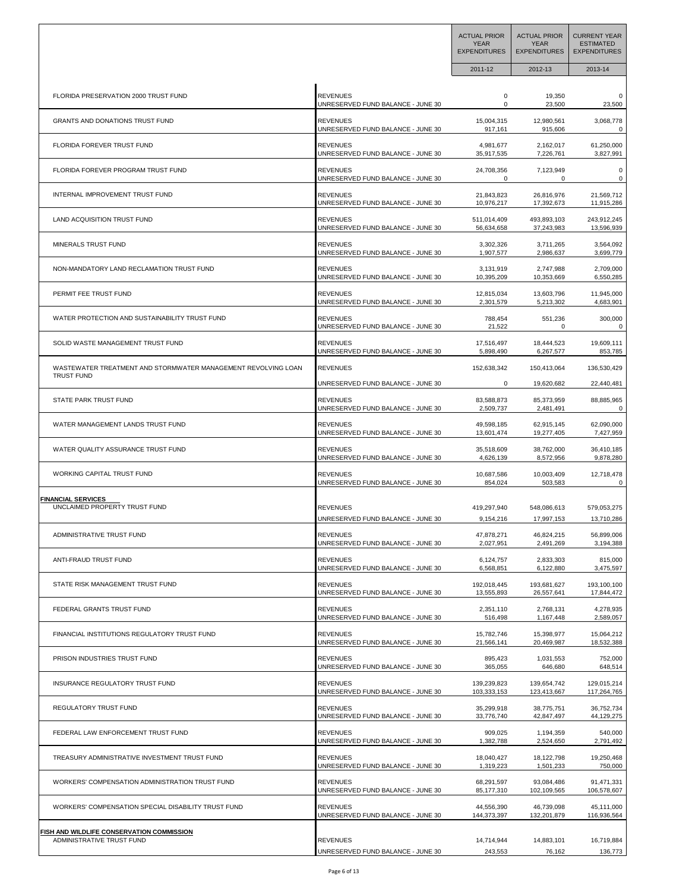|                                                                                    |                                                      | <b>ACTUAL PRIOR</b><br><b>YEAR</b><br><b>EXPENDITURES</b> | <b>ACTUAL PRIOR</b><br><b>YEAR</b><br><b>EXPENDITURES</b> | <b>CURRENT YEAR</b><br><b>ESTIMATED</b><br><b>EXPENDITURES</b> |
|------------------------------------------------------------------------------------|------------------------------------------------------|-----------------------------------------------------------|-----------------------------------------------------------|----------------------------------------------------------------|
|                                                                                    |                                                      | 2011-12                                                   | 2012-13                                                   | 2013-14                                                        |
| FLORIDA PRESERVATION 2000 TRUST FUND                                               | <b>REVENUES</b>                                      | 0                                                         | 19,350                                                    | 0                                                              |
|                                                                                    | UNRESERVED FUND BALANCE - JUNE 30                    | $\mathbf 0$                                               | 23,500                                                    | 23,500                                                         |
| GRANTS AND DONATIONS TRUST FUND                                                    | <b>REVENUES</b>                                      | 15,004,315                                                | 12,980,561                                                | 3,068,778                                                      |
|                                                                                    | UNRESERVED FUND BALANCE - JUNE 30                    | 917,161                                                   | 915,606                                                   | 0                                                              |
| <b>FLORIDA FOREVER TRUST FUND</b>                                                  | <b>REVENUES</b>                                      | 4,981,677                                                 | 2,162,017                                                 | 61,250,000                                                     |
|                                                                                    | UNRESERVED FUND BALANCE - JUNE 30                    | 35,917,535                                                | 7,226,761                                                 | 3,827,991                                                      |
| FLORIDA FOREVER PROGRAM TRUST FUND                                                 | <b>REVENUES</b><br>UNRESERVED FUND BALANCE - JUNE 30 | 24,708,356                                                | 7,123,949<br>$\Omega$                                     | 0<br>0                                                         |
| INTERNAL IMPROVEMENT TRUST FUND                                                    | <b>REVENUES</b>                                      | 21,843,823                                                | 26,816,976                                                | 21,569,712                                                     |
|                                                                                    | UNRESERVED FUND BALANCE - JUNE 30                    | 10,976,217                                                | 17,392,673                                                | 11,915,286                                                     |
| LAND ACQUISITION TRUST FUND                                                        | <b>REVENUES</b>                                      | 511,014,409                                               | 493,893,103                                               | 243,912,245                                                    |
|                                                                                    | UNRESERVED FUND BALANCE - JUNE 30                    | 56,634,658                                                | 37,243,983                                                | 13,596,939                                                     |
| MINERALS TRUST FUND                                                                | <b>REVENUES</b>                                      | 3,302,326                                                 | 3,711,265                                                 | 3,564,092                                                      |
|                                                                                    | UNRESERVED FUND BALANCE - JUNE 30                    | 1,907,577                                                 | 2,986,637                                                 | 3,699,779                                                      |
| NON-MANDATORY LAND RECLAMATION TRUST FUND                                          | <b>REVENUES</b>                                      | 3,131,919                                                 | 2,747,988                                                 | 2,709,000                                                      |
|                                                                                    | UNRESERVED FUND BALANCE - JUNE 30                    | 10,395,209                                                | 10,353,669                                                | 6,550,285                                                      |
| PERMIT FEE TRUST FUND                                                              | <b>REVENUES</b>                                      | 12,815,034                                                | 13,603,796                                                | 11,945,000                                                     |
|                                                                                    | UNRESERVED FUND BALANCE - JUNE 30                    | 2,301,579                                                 | 5,213,302                                                 | 4,683,901                                                      |
| WATER PROTECTION AND SUSTAINABILITY TRUST FUND                                     | <b>REVENUES</b>                                      | 788,454                                                   | 551,236                                                   | 300,000                                                        |
|                                                                                    | UNRESERVED FUND BALANCE - JUNE 30                    | 21,522                                                    | 0                                                         | 0                                                              |
| SOLID WASTE MANAGEMENT TRUST FUND                                                  | <b>REVENUES</b>                                      | 17,516,497                                                | 18,444,523                                                | 19,609,111                                                     |
|                                                                                    | UNRESERVED FUND BALANCE - JUNE 30                    | 5,898,490                                                 | 6,267,577                                                 | 853,785                                                        |
| WASTEWATER TREATMENT AND STORMWATER MANAGEMENT REVOLVING LOAN<br><b>TRUST FUND</b> | <b>REVENUES</b>                                      | 152,638,342                                               | 150,413,064                                               | 136,530,429                                                    |
| STATE PARK TRUST FUND                                                              | UNRESERVED FUND BALANCE - JUNE 30                    | 0                                                         | 19,620,682                                                | 22,440,481                                                     |
|                                                                                    | <b>REVENUES</b>                                      | 83,588,873                                                | 85,373,959                                                | 88,885,965                                                     |
| WATER MANAGEMENT LANDS TRUST FUND                                                  | UNRESERVED FUND BALANCE - JUNE 30                    | 2,509,737                                                 | 2,481,491                                                 | 0                                                              |
|                                                                                    | <b>REVENUES</b>                                      | 49,598,185                                                | 62,915,145                                                | 62,090,000                                                     |
| WATER QUALITY ASSURANCE TRUST FUND                                                 | UNRESERVED FUND BALANCE - JUNE 30                    | 13,601,474                                                | 19,277,405                                                | 7,427,959                                                      |
|                                                                                    | <b>REVENUES</b>                                      | 35,518,609                                                | 38,762,000                                                | 36,410,185                                                     |
| WORKING CAPITAL TRUST FUND                                                         | UNRESERVED FUND BALANCE - JUNE 30                    | 4,626,139                                                 | 8,572,956                                                 | 9,878,280                                                      |
|                                                                                    | <b>REVENUES</b>                                      | 10,687,586                                                | 10,003,409                                                | 12,718,478                                                     |
| <b>FINANCIAL SERVICES</b>                                                          | UNRESERVED FUND BALANCE - JUNE 30                    | 854,024                                                   | 503,583                                                   | 0                                                              |
| UNCLAIMED PROPERTY TRUST FUND                                                      | <b>REVENUES</b>                                      | 419,297,940                                               | 548,086,613                                               | 579,053,275                                                    |
|                                                                                    | UNRESERVED FUND BALANCE - JUNE 30                    | 9,154,216                                                 | 17,997,153                                                | 13,710,286                                                     |
| ADMINISTRATIVE TRUST FUND                                                          | <b>REVENUES</b>                                      | 47,878,271                                                | 46,824,215                                                | 56,899,006                                                     |
|                                                                                    | UNRESERVED FUND BALANCE - JUNE 30                    | 2,027,951                                                 | 2,491,269                                                 | 3,194,388                                                      |
| ANTI-FRAUD TRUST FUND                                                              | <b>REVENUES</b>                                      | 6.124.757                                                 | 2.833.303                                                 | 815,000                                                        |
|                                                                                    | UNRESERVED FUND BALANCE - JUNE 30                    | 6,568,851                                                 | 6,122,880                                                 | 3,475,597                                                      |
| STATE RISK MANAGEMENT TRUST FUND                                                   | <b>REVENUES</b>                                      | 192,018,445                                               | 193,681,627                                               | 193,100,100                                                    |
|                                                                                    | UNRESERVED FUND BALANCE - JUNE 30                    | 13,555,893                                                | 26,557,641                                                | 17,844,472                                                     |
| FEDERAL GRANTS TRUST FUND                                                          | <b>REVENUES</b>                                      | 2,351,110                                                 | 2.768.131                                                 | 4,278,935                                                      |
|                                                                                    | UNRESERVED FUND BALANCE - JUNE 30                    | 516,498                                                   | 1,167,448                                                 | 2,589,057                                                      |
| FINANCIAL INSTITUTIONS REGULATORY TRUST FUND                                       | <b>REVENUES</b>                                      | 15,782,746                                                | 15,398,977                                                | 15,064,212                                                     |
|                                                                                    | UNRESERVED FUND BALANCE - JUNE 30                    | 21,566,141                                                | 20,469,987                                                | 18,532,388                                                     |
| PRISON INDUSTRIES TRUST FUND                                                       | <b>REVENUES</b>                                      | 895,423                                                   | 1,031,553                                                 | 752,000                                                        |
|                                                                                    | UNRESERVED FUND BALANCE - JUNE 30                    | 365,055                                                   | 646,680                                                   | 648,514                                                        |
| INSURANCE REGULATORY TRUST FUND                                                    | <b>REVENUES</b>                                      | 139,239,823                                               | 139,654,742                                               | 129,015,214                                                    |
|                                                                                    | UNRESERVED FUND BALANCE - JUNE 30                    | 103,333,153                                               | 123,413,667                                               | 117,264,765                                                    |
| REGULATORY TRUST FUND                                                              | <b>REVENUES</b>                                      | 35,299,918                                                | 38,775,751                                                | 36,752,734                                                     |
|                                                                                    | UNRESERVED FUND BALANCE - JUNE 30                    | 33,776,740                                                | 42,847,497                                                | 44,129,275                                                     |
| FEDERAL LAW ENFORCEMENT TRUST FUND                                                 | <b>REVENUES</b>                                      | 909,025                                                   | 1,194,359                                                 | 540,000                                                        |
|                                                                                    | UNRESERVED FUND BALANCE - JUNE 30                    | 1,382,788                                                 | 2,524,650                                                 | 2,791,492                                                      |
| TREASURY ADMINISTRATIVE INVESTMENT TRUST FUND                                      | <b>REVENUES</b>                                      | 18,040,427                                                | 18,122,798                                                | 19,250,468                                                     |
|                                                                                    | UNRESERVED FUND BALANCE - JUNE 30                    | 1,319,223                                                 | 1,501,233                                                 | 750,000                                                        |
| WORKERS' COMPENSATION ADMINISTRATION TRUST FUND                                    | <b>REVENUES</b>                                      | 68,291,597                                                | 93,084,486                                                | 91,471,331                                                     |
|                                                                                    | UNRESERVED FUND BALANCE - JUNE 30                    | 85,177,310                                                | 102,109,565                                               | 106,578,607                                                    |
| WORKERS' COMPENSATION SPECIAL DISABILITY TRUST FUND                                | <b>REVENUES</b>                                      | 44,556,390                                                | 46,739,098                                                | 45,111,000                                                     |
|                                                                                    | UNRESERVED FUND BALANCE - JUNE 30                    | 144,373,397                                               | 132,201,879                                               | 116,936,564                                                    |
| FISH AND WILDLIFE CONSERVATION COMMISSION<br>ADMINISTRATIVE TRUST FUND             | <b>REVENUES</b>                                      | 14,714,944                                                | 14,883,101                                                | 16,719,884                                                     |
|                                                                                    | UNRESERVED FUND BALANCE - JUNE 30                    | 243,553                                                   | 76,162                                                    | 136,773                                                        |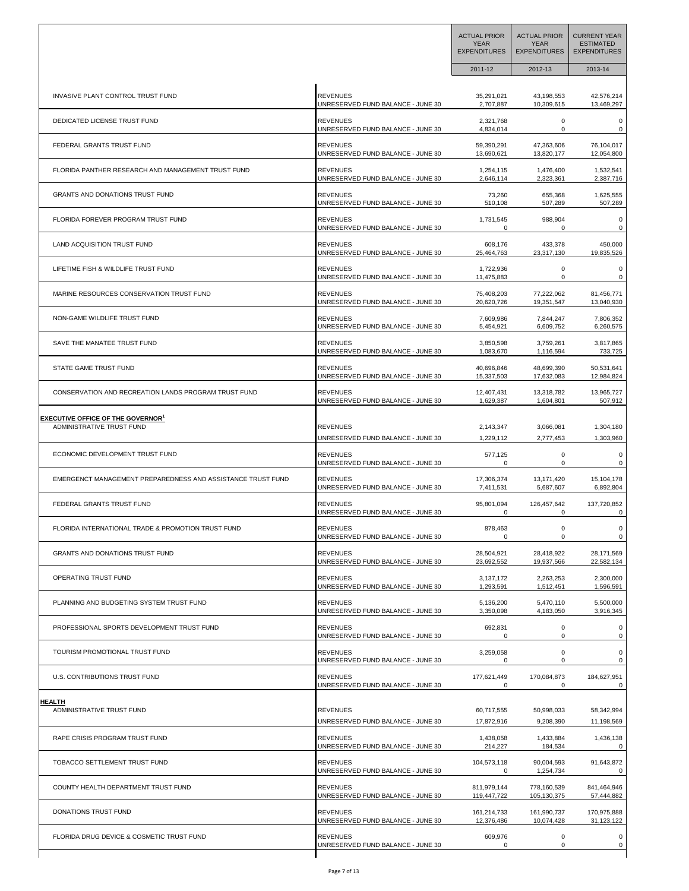|                                                             |                                   | <b>ACTUAL PRIOR</b><br><b>YEAR</b><br><b>EXPENDITURES</b> | <b>ACTUAL PRIOR</b><br><b>YEAR</b><br><b>EXPENDITURES</b> | <b>CURRENT YEAR</b><br><b>ESTIMATED</b><br><b>EXPENDITURES</b> |
|-------------------------------------------------------------|-----------------------------------|-----------------------------------------------------------|-----------------------------------------------------------|----------------------------------------------------------------|
|                                                             |                                   | 2011-12                                                   | 2012-13                                                   | 2013-14                                                        |
| INVASIVE PLANT CONTROL TRUST FUND                           | <b>REVENUES</b>                   | 35,291,021                                                | 43,198,553                                                | 42,576,214                                                     |
|                                                             | UNRESERVED FUND BALANCE - JUNE 30 | 2,707,887                                                 | 10,309,615                                                | 13,469,297                                                     |
| DEDICATED LICENSE TRUST FUND                                | <b>REVENUES</b>                   | 2,321,768                                                 | $\mathbf 0$                                               | $\pmb{0}$                                                      |
|                                                             | UNRESERVED FUND BALANCE - JUNE 30 | 4,834,014                                                 | 0                                                         | 0                                                              |
| FEDERAL GRANTS TRUST FUND                                   | <b>REVENUES</b>                   | 59,390,291                                                | 47,363,606                                                | 76,104,017                                                     |
|                                                             | UNRESERVED FUND BALANCE - JUNE 30 | 13,690,621                                                | 13,820,177                                                | 12,054,800                                                     |
| FLORIDA PANTHER RESEARCH AND MANAGEMENT TRUST FUND          | <b>REVENUES</b>                   | 1,254,115                                                 | 1,476,400                                                 | 1,532,541                                                      |
|                                                             | UNRESERVED FUND BALANCE - JUNE 30 | 2,646,114                                                 | 2,323,361                                                 | 2,387,716                                                      |
| <b>GRANTS AND DONATIONS TRUST FUND</b>                      | <b>REVENUES</b>                   | 73,260                                                    | 655,368                                                   | 1,625,555                                                      |
|                                                             | UNRESERVED FUND BALANCE - JUNE 30 | 510,108                                                   | 507,289                                                   | 507,289                                                        |
| FLORIDA FOREVER PROGRAM TRUST FUND                          | <b>REVENUES</b>                   | 1,731,545                                                 | 988,904                                                   | 0                                                              |
|                                                             | UNRESERVED FUND BALANCE - JUNE 30 | 0                                                         | $\Omega$                                                  | 0                                                              |
| LAND ACQUISITION TRUST FUND                                 | <b>REVENUES</b>                   | 608,176                                                   | 433,378                                                   | 450,000                                                        |
|                                                             | UNRESERVED FUND BALANCE - JUNE 30 | 25,464,763                                                | 23,317,130                                                | 19,835,526                                                     |
| LIFETIME FISH & WILDLIFE TRUST FUND                         | <b>REVENUES</b>                   | 1,722,936                                                 | 0                                                         | 0                                                              |
|                                                             | UNRESERVED FUND BALANCE - JUNE 30 | 11,475,883                                                | 0                                                         | 0                                                              |
| MARINE RESOURCES CONSERVATION TRUST FUND                    | <b>REVENUES</b>                   | 75,408,203                                                | 77,222,062                                                | 81,456,771                                                     |
|                                                             | UNRESERVED FUND BALANCE - JUNE 30 | 20,620,726                                                | 19,351,547                                                | 13,040,930                                                     |
| NON-GAME WILDLIFE TRUST FUND                                | <b>REVENUES</b>                   | 7,609,986                                                 | 7,844,247                                                 | 7,806,352                                                      |
|                                                             | UNRESERVED FUND BALANCE - JUNE 30 | 5,454,921                                                 | 6,609,752                                                 | 6,260,575                                                      |
| SAVE THE MANATEE TRUST FUND                                 | <b>REVENUES</b>                   | 3,850,598                                                 | 3,759,261                                                 | 3,817,865                                                      |
|                                                             | UNRESERVED FUND BALANCE - JUNE 30 | 1,083,670                                                 | 1,116,594                                                 | 733,725                                                        |
| STATE GAME TRUST FUND                                       | <b>REVENUES</b>                   | 40,696,846                                                | 48,699,390                                                | 50,531,641                                                     |
|                                                             | UNRESERVED FUND BALANCE - JUNE 30 | 15,337,503                                                | 17,632,083                                                | 12,984,824                                                     |
| CONSERVATION AND RECREATION LANDS PROGRAM TRUST FUND        | <b>REVENUES</b>                   | 12,407,431                                                | 13,318,782                                                | 13,965,727                                                     |
|                                                             | UNRESERVED FUND BALANCE - JUNE 30 | 1,629,387                                                 | 1,604,801                                                 | 507,912                                                        |
| <b>EXECUTIVE OFFICE OF THE GOVERNOR<sup>1</sup></b>         | REVENUES                          | 2,143,347                                                 | 3,066,081                                                 | 1,304,180                                                      |
| ADMINISTRATIVE TRUST FUND                                   | UNRESERVED FUND BALANCE - JUNE 30 | 1,229,112                                                 | 2,777,453                                                 | 1,303,960                                                      |
| ECONOMIC DEVELOPMENT TRUST FUND                             | <b>REVENUES</b>                   | 577,125                                                   | 0                                                         | 0                                                              |
|                                                             | UNRESERVED FUND BALANCE - JUNE 30 | 0                                                         | 0                                                         | 0                                                              |
| EMERGENCT MANAGEMENT PREPAREDNESS AND ASSISTANCE TRUST FUND | <b>REVENUES</b>                   | 17,306,374                                                | 13,171,420                                                | 15,104,178                                                     |
|                                                             | UNRESERVED FUND BALANCE - JUNE 30 | 7,411,531                                                 | 5,687,607                                                 | 6,892,804                                                      |
| FEDERAL GRANTS TRUST FUND                                   | <b>REVENUES</b>                   | 95,801,094                                                | 126,457,642                                               | 137,720,852                                                    |
|                                                             | UNRESERVED FUND BALANCE - JUNE 30 | 0                                                         | 0                                                         | 0                                                              |
| FLORIDA INTERNATIONAL TRADE & PROMOTION TRUST FUND          | <b>REVENUES</b>                   | 878,463                                                   | 0                                                         | 0                                                              |
|                                                             | UNRESERVED FUND BALANCE - JUNE 30 | 0                                                         | 0                                                         | 0                                                              |
| GRANTS AND DONATIONS TRUST FUND                             | <b>REVENUES</b>                   | 28,504,921                                                | 28,418,922                                                | 28,171,569                                                     |
|                                                             | UNRESERVED FUND BALANCE - JUNE 30 | 23,692,552                                                | 19,937,566                                                | 22,582,134                                                     |
| OPERATING TRUST FUND                                        | <b>REVENUES</b>                   | 3,137,172                                                 | 2,263,253                                                 | 2,300,000                                                      |
|                                                             | UNRESERVED FUND BALANCE - JUNE 30 | 1,293,591                                                 | 1,512,451                                                 | 1,596,591                                                      |
| PLANNING AND BUDGETING SYSTEM TRUST FUND                    | <b>REVENUES</b>                   | 5,136,200                                                 | 5,470,110                                                 | 5,500,000                                                      |
|                                                             | UNRESERVED FUND BALANCE - JUNE 30 | 3,350,098                                                 | 4,183,050                                                 | 3,916,345                                                      |
| PROFESSIONAL SPORTS DEVELOPMENT TRUST FUND                  | <b>REVENUES</b>                   | 692,831                                                   | $\mathsf 0$                                               | $\mathsf 0$                                                    |
|                                                             | UNRESERVED FUND BALANCE - JUNE 30 | 0                                                         | 0                                                         | 0                                                              |
| TOURISM PROMOTIONAL TRUST FUND                              | <b>REVENUES</b>                   | 3,259,058                                                 | $\mathsf 0$                                               | $\pmb{0}$                                                      |
|                                                             | UNRESERVED FUND BALANCE - JUNE 30 | 0                                                         | 0                                                         | 0                                                              |
| U.S. CONTRIBUTIONS TRUST FUND                               | <b>REVENUES</b>                   | 177,621,449                                               | 170,084,873                                               | 184,627,951                                                    |
|                                                             | UNRESERVED FUND BALANCE - JUNE 30 | 0                                                         | 0                                                         | 0                                                              |
| <b>HEALTH</b>                                               | <b>REVENUES</b>                   | 60,717,555                                                | 50,998,033                                                | 58,342,994                                                     |
| ADMINISTRATIVE TRUST FUND                                   | UNRESERVED FUND BALANCE - JUNE 30 | 17,872,916                                                | 9,208,390                                                 | 11,198,569                                                     |
| RAPE CRISIS PROGRAM TRUST FUND                              | <b>REVENUES</b>                   | 1,438,058                                                 | 1,433,884                                                 | 1,436,138                                                      |
|                                                             | UNRESERVED FUND BALANCE - JUNE 30 | 214,227                                                   | 184,534                                                   | 0                                                              |
| TOBACCO SETTLEMENT TRUST FUND                               | <b>REVENUES</b>                   | 104,573,118                                               | 90,004,593                                                | 91,643,872                                                     |
|                                                             | UNRESERVED FUND BALANCE - JUNE 30 | 0                                                         | 1,254,734                                                 | 0                                                              |
| COUNTY HEALTH DEPARTMENT TRUST FUND                         | <b>REVENUES</b>                   | 811,979,144                                               | 778,160,539                                               | 841,464,946                                                    |
|                                                             | UNRESERVED FUND BALANCE - JUNE 30 | 119,447,722                                               | 105,130,375                                               | 57,444,882                                                     |
| DONATIONS TRUST FUND                                        | <b>REVENUES</b>                   | 161,214,733                                               | 161,990,737                                               | 170,975,888                                                    |
|                                                             | UNRESERVED FUND BALANCE - JUNE 30 | 12,376,486                                                | 10,074,428                                                | 31,123,122                                                     |
| FLORIDA DRUG DEVICE & COSMETIC TRUST FUND                   | <b>REVENUES</b>                   | 609,976                                                   | $\mathsf 0$                                               | $\mathsf 0$                                                    |
|                                                             | UNRESERVED FUND BALANCE - JUNE 30 | 0                                                         | 0                                                         | 0                                                              |
|                                                             |                                   |                                                           |                                                           |                                                                |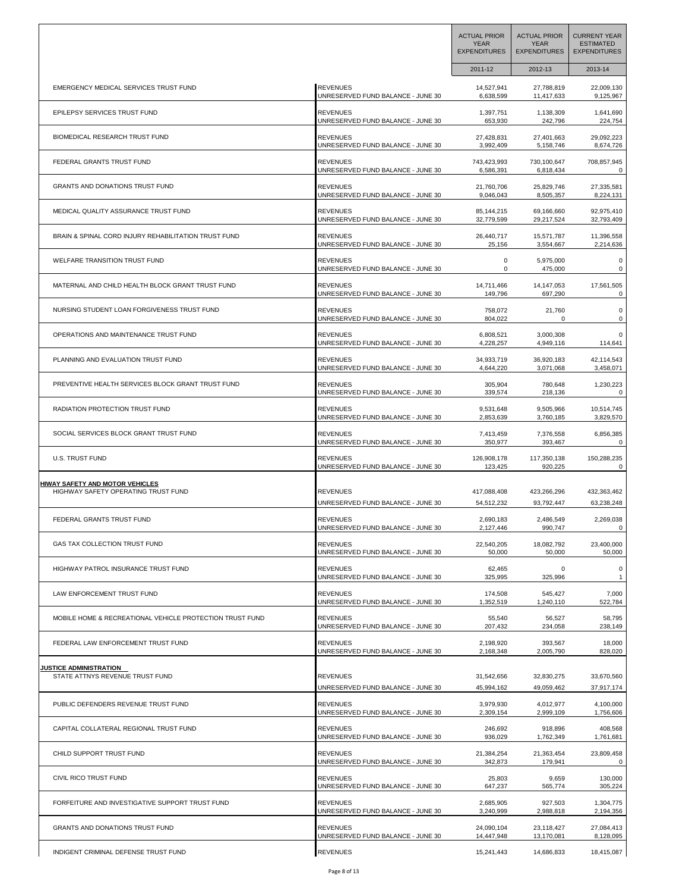|                                                          |                                   | <b>ACTUAL PRIOR</b><br><b>YEAR</b><br><b>EXPENDITURES</b> | <b>ACTUAL PRIOR</b><br><b>YEAR</b><br><b>EXPENDITURES</b> | <b>CURRENT YEAR</b><br><b>ESTIMATED</b><br><b>EXPENDITURES</b> |
|----------------------------------------------------------|-----------------------------------|-----------------------------------------------------------|-----------------------------------------------------------|----------------------------------------------------------------|
|                                                          |                                   | 2011-12                                                   | 2012-13                                                   | 2013-14                                                        |
| EMERGENCY MEDICAL SERVICES TRUST FUND                    | <b>REVENUES</b>                   | 14,527,941                                                | 27,788,819                                                | 22,009,130                                                     |
|                                                          | UNRESERVED FUND BALANCE - JUNE 30 | 6,638,599                                                 | 11,417,633                                                | 9,125,967                                                      |
| EPILEPSY SERVICES TRUST FUND                             | <b>REVENUES</b>                   | 1,397,751                                                 | 1,138,309                                                 | 1,641,690                                                      |
|                                                          | UNRESERVED FUND BALANCE - JUNE 30 | 653,930                                                   | 242,796                                                   | 224,754                                                        |
| BIOMEDICAL RESEARCH TRUST FUND                           | <b>REVENUES</b>                   | 27,428,831                                                | 27,401,663                                                | 29,092,223                                                     |
|                                                          | UNRESERVED FUND BALANCE - JUNE 30 | 3,992,409                                                 | 5,158,746                                                 | 8,674,726                                                      |
| FEDERAL GRANTS TRUST FUND                                | <b>REVENUES</b>                   | 743,423,993                                               | 730,100,647                                               | 708,857,945                                                    |
|                                                          | UNRESERVED FUND BALANCE - JUNE 30 | 6,586,391                                                 | 6,818,434                                                 | 0                                                              |
| <b>GRANTS AND DONATIONS TRUST FUND</b>                   | <b>REVENUES</b>                   | 21,760,706                                                | 25,829,746                                                | 27,335,581                                                     |
|                                                          | UNRESERVED FUND BALANCE - JUNE 30 | 9,046,043                                                 | 8,505,357                                                 | 8,224,131                                                      |
| MEDICAL QUALITY ASSURANCE TRUST FUND                     | <b>REVENUES</b>                   | 85,144,215                                                | 69,166,660                                                | 92,975,410                                                     |
|                                                          | UNRESERVED FUND BALANCE - JUNE 30 | 32,779,599                                                | 29,217,524                                                | 32,793,409                                                     |
| BRAIN & SPINAL CORD INJURY REHABILITATION TRUST FUND     | <b>REVENUES</b>                   | 26,440,717                                                | 15,571,787                                                | 11,396,558                                                     |
|                                                          | UNRESERVED FUND BALANCE - JUNE 30 | 25,156                                                    | 3,554,667                                                 | 2,214,636                                                      |
| WELFARE TRANSITION TRUST FUND                            | <b>REVENUES</b>                   | 0                                                         | 5,975,000                                                 | 0                                                              |
|                                                          | UNRESERVED FUND BALANCE - JUNE 30 | 0                                                         | 475,000                                                   | 0                                                              |
| MATERNAL AND CHILD HEALTH BLOCK GRANT TRUST FUND         | <b>REVENUES</b>                   | 14,711,466                                                | 14, 147, 053                                              | 17,561,505                                                     |
|                                                          | UNRESERVED FUND BALANCE - JUNE 30 | 149,796                                                   | 697,290                                                   | 0                                                              |
| NURSING STUDENT LOAN FORGIVENESS TRUST FUND              | <b>REVENUES</b>                   | 758,072                                                   | 21,760                                                    | 0                                                              |
|                                                          | UNRESERVED FUND BALANCE - JUNE 30 | 804,022                                                   | $\mathbf 0$                                               | 0                                                              |
| OPERATIONS AND MAINTENANCE TRUST FUND                    | <b>REVENUES</b>                   | 6,808,521                                                 | 3,000,308                                                 | 0                                                              |
|                                                          | UNRESERVED FUND BALANCE - JUNE 30 | 4,228,257                                                 | 4,949,116                                                 | 114,641                                                        |
| PLANNING AND EVALUATION TRUST FUND                       | <b>REVENUES</b>                   | 34,933,719                                                | 36,920,183                                                | 42,114,543                                                     |
|                                                          | UNRESERVED FUND BALANCE - JUNE 30 | 4,644,220                                                 | 3,071,068                                                 | 3,458,071                                                      |
| PREVENTIVE HEALTH SERVICES BLOCK GRANT TRUST FUND        | <b>REVENUES</b>                   | 305,904                                                   | 780,648                                                   | 1,230,223                                                      |
|                                                          | UNRESERVED FUND BALANCE - JUNE 30 | 339,574                                                   | 218,136                                                   | 0                                                              |
| RADIATION PROTECTION TRUST FUND                          | <b>REVENUES</b>                   | 9,531,648                                                 | 9,505,966                                                 | 10,514,745                                                     |
|                                                          | UNRESERVED FUND BALANCE - JUNE 30 | 2,853,639                                                 | 3,760,185                                                 | 3,829,570                                                      |
| SOCIAL SERVICES BLOCK GRANT TRUST FUND                   | <b>REVENUES</b>                   | 7,413,459                                                 | 7,376,558                                                 | 6,856,385                                                      |
|                                                          | UNRESERVED FUND BALANCE - JUNE 30 | 350,977                                                   | 393,467                                                   | 0                                                              |
| <b>U.S. TRUST FUND</b>                                   | <b>REVENUES</b>                   | 126,908,178                                               | 117,350,138                                               | 150,288,235                                                    |
|                                                          | UNRESERVED FUND BALANCE - JUNE 30 | 123,425                                                   | 920,225                                                   | 0                                                              |
| <b>HIWAY SAFETY AND MOTOR VEHICLES</b>                   | <b>REVENUES</b>                   | 417,088,408                                               | 423,266,296                                               | 432,363,462                                                    |
| HIGHWAY SAFETY OPERATING TRUST FUND                      | UNRESERVED FUND BALANCE - JUNE 30 | 54,512,232                                                | 93,792,447                                                | 63,238,248                                                     |
| FEDERAL GRANTS TRUST FUND                                | <b>REVENUES</b>                   | 2,690,183                                                 | 2,486,549                                                 | 2,269,038                                                      |
|                                                          | UNRESERVED FUND BALANCE - JUNE 30 | 2,127,446                                                 | 990,747                                                   | 0                                                              |
| GAS TAX COLLECTION TRUST FUND                            | <b>REVENUES</b>                   | 22,540,205                                                | 18,082,792                                                | 23.400.000                                                     |
|                                                          | UNRESERVED FUND BALANCE - JUNE 30 | 50,000                                                    | 50,000                                                    | 50,000                                                         |
| HIGHWAY PATROL INSURANCE TRUST FUND                      | <b>REVENUES</b>                   | 62,465                                                    | 0                                                         | $\mathbf 0$                                                    |
|                                                          | UNRESERVED FUND BALANCE - JUNE 30 | 325,995                                                   | 325,996                                                   | $\mathbf{1}$                                                   |
| <b>LAW ENFORCEMENT TRUST FUND</b>                        | <b>REVENUES</b>                   | 174,508                                                   | 545,427                                                   | 7,000                                                          |
|                                                          | UNRESERVED FUND BALANCE - JUNE 30 | 1,352,519                                                 | 1,240,110                                                 | 522,784                                                        |
| MOBILE HOME & RECREATIONAL VEHICLE PROTECTION TRUST FUND | <b>REVENUES</b>                   | 55,540                                                    | 56,527                                                    | 58,795                                                         |
|                                                          | UNRESERVED FUND BALANCE - JUNE 30 | 207,432                                                   | 234,058                                                   | 238,149                                                        |
| FEDERAL LAW ENFORCEMENT TRUST FUND                       | <b>REVENUES</b>                   | 2,198,920                                                 | 393,567                                                   | 18,000                                                         |
|                                                          | UNRESERVED FUND BALANCE - JUNE 30 | 2,168,348                                                 | 2,005,790                                                 | 828,020                                                        |
| <b>JUSTICE ADMINISTRATION</b>                            | <b>REVENUES</b>                   | 31,542,656                                                | 32,830,275                                                | 33,670,560                                                     |
| STATE ATTNYS REVENUE TRUST FUND                          | UNRESERVED FUND BALANCE - JUNE 30 | 45,994,162                                                | 49,059,462                                                | 37,917,174                                                     |
| PUBLIC DEFENDERS REVENUE TRUST FUND                      | <b>REVENUES</b>                   | 3,979,930                                                 | 4,012,977                                                 | 4,100,000                                                      |
|                                                          | UNRESERVED FUND BALANCE - JUNE 30 | 2,309,154                                                 | 2,999,109                                                 | 1,756,606                                                      |
| CAPITAL COLLATERAL REGIONAL TRUST FUND                   | <b>REVENUES</b>                   | 246,692                                                   | 918,896                                                   | 408,568                                                        |
|                                                          | UNRESERVED FUND BALANCE - JUNE 30 | 936,029                                                   | 1,762,349                                                 | 1,761,681                                                      |
| CHILD SUPPORT TRUST FUND                                 | <b>REVENUES</b>                   | 21,384,254                                                | 21,363,454                                                | 23,809,458                                                     |
|                                                          | UNRESERVED FUND BALANCE - JUNE 30 | 342,873                                                   | 179,941                                                   | 0                                                              |
| CIVIL RICO TRUST FUND                                    | <b>REVENUES</b>                   | 25,803                                                    | 9,659                                                     | 130,000                                                        |
|                                                          | UNRESERVED FUND BALANCE - JUNE 30 | 647,237                                                   | 565,774                                                   | 305,224                                                        |
| FORFEITURE AND INVESTIGATIVE SUPPORT TRUST FUND          | <b>REVENUES</b>                   | 2,685,905                                                 | 927,503                                                   | 1,304,775                                                      |
|                                                          | UNRESERVED FUND BALANCE - JUNE 30 | 3,240,999                                                 | 2,988,818                                                 | 2,194,356                                                      |
| GRANTS AND DONATIONS TRUST FUND                          | <b>REVENUES</b>                   | 24,090,104                                                | 23,118,427                                                | 27,084,413                                                     |
|                                                          | UNRESERVED FUND BALANCE - JUNE 30 | 14,447,948                                                | 13,170,081                                                | 8,128,095                                                      |
| INDIGENT CRIMINAL DEFENSE TRUST FUND                     | <b>REVENUES</b>                   | 15,241,443                                                | 14,686,833                                                | 18,415,087                                                     |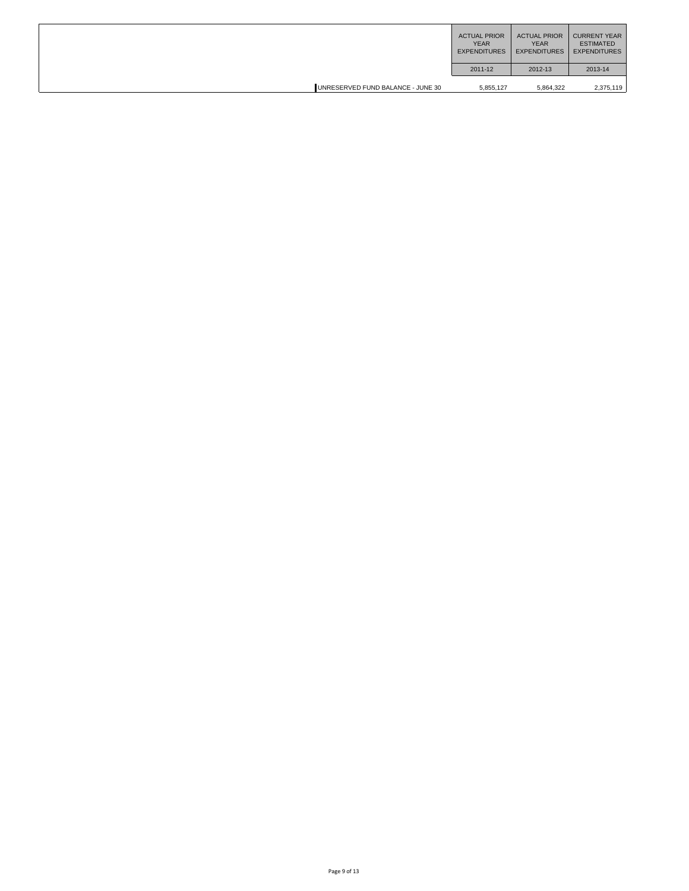|                                   | <b>ACTUAL PRIOR</b><br><b>YEAR</b><br><b>EXPENDITURES</b> | <b>ACTUAL PRIOR</b><br><b>YEAR</b><br><b>EXPENDITURES</b> | <b>CURRENT YEAR</b><br><b>ESTIMATED</b><br><b>EXPENDITURES</b> |
|-----------------------------------|-----------------------------------------------------------|-----------------------------------------------------------|----------------------------------------------------------------|
|                                   | 2011-12                                                   | 2012-13                                                   | 2013-14                                                        |
| UNRESERVED FUND BALANCE - JUNE 30 | 5,855,127                                                 | 5,864,322                                                 | 2,375,119                                                      |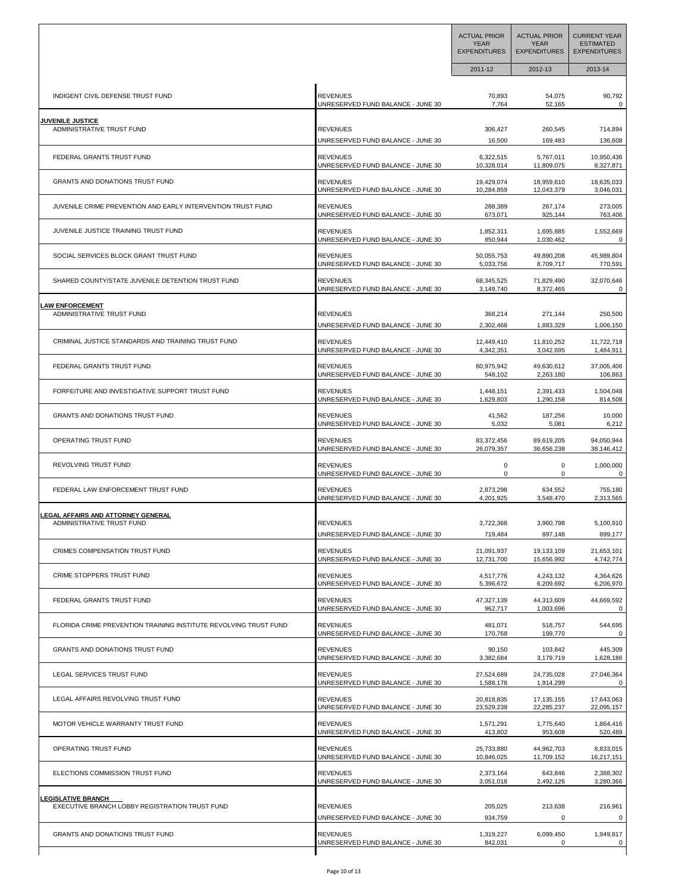|                                                                  |                                   | <b>ACTUAL PRIOR</b><br><b>YEAR</b><br><b>EXPENDITURES</b> | <b>ACTUAL PRIOR</b><br><b>YEAR</b><br><b>EXPENDITURES</b> | <b>CURRENT YEAR</b><br><b>ESTIMATED</b><br><b>EXPENDITURES</b> |
|------------------------------------------------------------------|-----------------------------------|-----------------------------------------------------------|-----------------------------------------------------------|----------------------------------------------------------------|
|                                                                  |                                   | 2011-12                                                   | 2012-13                                                   | 2013-14                                                        |
| INDIGENT CIVIL DEFENSE TRUST FUND                                | <b>REVENUES</b>                   | 70,893                                                    | 54,075                                                    | 90,792                                                         |
|                                                                  | UNRESERVED FUND BALANCE - JUNE 30 | 7,764                                                     | 52,165                                                    | 0                                                              |
| <u>JUVENILE JUSTICE</u>                                          | <b>REVENUES</b>                   | 306,427                                                   | 260,545                                                   | 714,894                                                        |
| ADMINISTRATIVE TRUST FUND                                        | UNRESERVED FUND BALANCE - JUNE 30 | 16,500                                                    | 169,483                                                   | 136,608                                                        |
| FEDERAL GRANTS TRUST FUND                                        | <b>REVENUES</b>                   | 6,322,515                                                 | 5,767,011                                                 | 10,950,436                                                     |
|                                                                  | UNRESERVED FUND BALANCE - JUNE 30 | 10,328,014                                                | 11,809,075                                                | 8,327,871                                                      |
| <b>GRANTS AND DONATIONS TRUST FUND</b>                           | <b>REVENUES</b>                   | 19,429,074                                                | 18,959,610                                                | 18,635,033                                                     |
|                                                                  | UNRESERVED FUND BALANCE - JUNE 30 | 10,284,859                                                | 12,043,379                                                | 3,046,031                                                      |
| JUVENILE CRIME PREVENTION AND EARLY INTERVENTION TRUST FUND      | <b>REVENUES</b>                   | 288,389                                                   | 267,174                                                   | 273,005                                                        |
|                                                                  | UNRESERVED FUND BALANCE - JUNE 30 | 673,071                                                   | 925,144                                                   | 763,406                                                        |
| JUVENILE JUSTICE TRAINING TRUST FUND                             | <b>REVENUES</b>                   | 1,852,311                                                 | 1,695,885                                                 | 1,552,669                                                      |
|                                                                  | UNRESERVED FUND BALANCE - JUNE 30 | 850,944                                                   | 1,030,462                                                 | 0                                                              |
| SOCIAL SERVICES BLOCK GRANT TRUST FUND                           | <b>REVENUES</b>                   | 50,055,753                                                | 49,890,208                                                | 45,989,804                                                     |
|                                                                  | UNRESERVED FUND BALANCE - JUNE 30 | 5,033,756                                                 | 8,709,717                                                 | 770,591                                                        |
| SHARED COUNTY/STATE JUVENILE DETENTION TRUST FUND                | <b>REVENUES</b>                   | 68,345,525                                                | 71,829,490                                                | 32,070,646                                                     |
|                                                                  | UNRESERVED FUND BALANCE - JUNE 30 | 3,149,740                                                 | 8,372,465                                                 | 0                                                              |
| <b>LAW ENFORCEMENT</b>                                           | <b>REVENUES</b>                   | 368,214                                                   | 271,144                                                   | 250,500                                                        |
| ADMINISTRATIVE TRUST FUND                                        | UNRESERVED FUND BALANCE - JUNE 30 | 2,302,468                                                 | 1,883,329                                                 | 1,006,150                                                      |
| CRIMINAL JUSTICE STANDARDS AND TRAINING TRUST FUND               | <b>REVENUES</b>                   | 12,449,410                                                | 11,810,252                                                | 11,722,718                                                     |
|                                                                  | UNRESERVED FUND BALANCE - JUNE 30 | 4,342,351                                                 | 3,042,695                                                 | 1,484,911                                                      |
| FEDERAL GRANTS TRUST FUND                                        | <b>REVENUES</b>                   | 60,975,942                                                | 49,630,612                                                | 37,005,406                                                     |
|                                                                  | UNRESERVED FUND BALANCE - JUNE 30 | 548,102                                                   | 2,263,180                                                 | 106,863                                                        |
| FORFEITURE AND INVESTIGATIVE SUPPORT TRUST FUND                  | <b>REVENUES</b>                   | 1,448,151                                                 | 2,391,433                                                 | 1,504,048                                                      |
|                                                                  | UNRESERVED FUND BALANCE - JUNE 30 | 1,629,803                                                 | 1,290,158                                                 | 814,508                                                        |
| <b>GRANTS AND DONATIONS TRUST FUND</b>                           | <b>REVENUES</b>                   | 41,562                                                    | 187,256                                                   | 10,000                                                         |
|                                                                  | UNRESERVED FUND BALANCE - JUNE 30 | 5,032                                                     | 5,081                                                     | 6,212                                                          |
| OPERATING TRUST FUND                                             | <b>REVENUES</b>                   | 83,372,456                                                | 89,619,205                                                | 94,050,944                                                     |
|                                                                  | UNRESERVED FUND BALANCE - JUNE 30 | 26,079,357                                                | 36,656,238                                                | 38,146,412                                                     |
| REVOLVING TRUST FUND                                             | <b>REVENUES</b>                   | 0                                                         | 0                                                         | 1,000,000                                                      |
|                                                                  | UNRESERVED FUND BALANCE - JUNE 30 | 0                                                         | 0                                                         | 0                                                              |
| FEDERAL LAW ENFORCEMENT TRUST FUND                               | <b>REVENUES</b>                   | 2,873,298                                                 | 634,552                                                   | 755,180                                                        |
|                                                                  | UNRESERVED FUND BALANCE - JUNE 30 | 4,201,925                                                 | 3,548,470                                                 | 2,313,565                                                      |
| EGAL AFFAIRS AND ATTORNEY GENERAL.                               | <b>REVENUES</b>                   | 3,722,368                                                 | 3,960,798                                                 | 5,100,910                                                      |
| ADMINISTRATIVE TRUST FUND                                        | UNRESERVED FUND BALANCE - JUNE 30 | 719,484                                                   | 897,148                                                   | 899,177                                                        |
| CRIMES COMPENSATION TRUST FUND                                   | <b>REVENUES</b>                   | 21,091,937                                                | 19,133,109                                                | 21.653.101                                                     |
|                                                                  | UNRESERVED FUND BALANCE - JUNE 30 | 12,731,700                                                | 15,656,992                                                | 4,742,774                                                      |
| CRIME STOPPERS TRUST FUND                                        | <b>REVENUES</b>                   | 4,517,776                                                 | 4,243,132                                                 | 4,364,626                                                      |
|                                                                  | UNRESERVED FUND BALANCE - JUNE 30 | 5,396,672                                                 | 6,209,692                                                 | 6,206,970                                                      |
| FEDERAL GRANTS TRUST FUND                                        | <b>REVENUES</b>                   | 47,327,139                                                | 44,313,609                                                | 44,669,592                                                     |
|                                                                  | UNRESERVED FUND BALANCE - JUNE 30 | 962,717                                                   | 1,003,696                                                 | 0                                                              |
| FLORIDA CRIME PREVENTION TRAINING INSTITUTE REVOLVING TRUST FUND | <b>REVENUES</b>                   | 481,071                                                   | 518,757                                                   | 544,695                                                        |
|                                                                  | UNRESERVED FUND BALANCE - JUNE 30 | 170,768                                                   | 199,770                                                   | 0                                                              |
| GRANTS AND DONATIONS TRUST FUND                                  | <b>REVENUES</b>                   | 90,150                                                    | 103,842                                                   | 445,309                                                        |
|                                                                  | UNRESERVED FUND BALANCE - JUNE 30 | 3,382,684                                                 | 3,179,719                                                 | 1,628,186                                                      |
| LEGAL SERVICES TRUST FUND                                        | <b>REVENUES</b>                   | 27,524,689                                                | 24,735,028                                                | 27,046,364                                                     |
|                                                                  | UNRESERVED FUND BALANCE - JUNE 30 | 1,588,178                                                 | 1,914,299                                                 | 0                                                              |
| LEGAL AFFAIRS REVOLVING TRUST FUND                               | <b>REVENUES</b>                   | 20,818,835                                                | 17, 135, 155                                              | 17,643,063                                                     |
|                                                                  | UNRESERVED FUND BALANCE - JUNE 30 | 23,529,239                                                | 22,285,237                                                | 22,095,157                                                     |
| MOTOR VEHICLE WARRANTY TRUST FUND                                | <b>REVENUES</b>                   | 1,571,291                                                 | 1,775,640                                                 | 1,864,416                                                      |
|                                                                  | UNRESERVED FUND BALANCE - JUNE 30 | 413,802                                                   | 953,608                                                   | 520,489                                                        |
| OPERATING TRUST FUND                                             | <b>REVENUES</b>                   | 25,733,880                                                | 44,962,703                                                | 8,833,015                                                      |
|                                                                  | UNRESERVED FUND BALANCE - JUNE 30 | 10,846,025                                                | 11,709,152                                                | 16,217,151                                                     |
| ELECTIONS COMMISSION TRUST FUND                                  | <b>REVENUES</b>                   | 2,373,164                                                 | 643,846                                                   | 2,388,302                                                      |
|                                                                  | UNRESERVED FUND BALANCE - JUNE 30 | 3,051,018                                                 | 2,492,126                                                 | 3,280,366                                                      |
| <b>LEGISLATIVE BRANCH</b>                                        | <b>REVENUES</b>                   | 205,025                                                   | 213,638                                                   | 216,961                                                        |
| EXECUTIVE BRANCH LOBBY REGISTRATION TRUST FUND                   | UNRESERVED FUND BALANCE - JUNE 30 | 934,759                                                   | 0                                                         | 0                                                              |
| <b>GRANTS AND DONATIONS TRUST FUND</b>                           | <b>REVENUES</b>                   | 1,319,227                                                 | 6,099,450                                                 | 1,949,817                                                      |
|                                                                  | UNRESERVED FUND BALANCE - JUNE 30 | 842,031                                                   | 0                                                         | 0                                                              |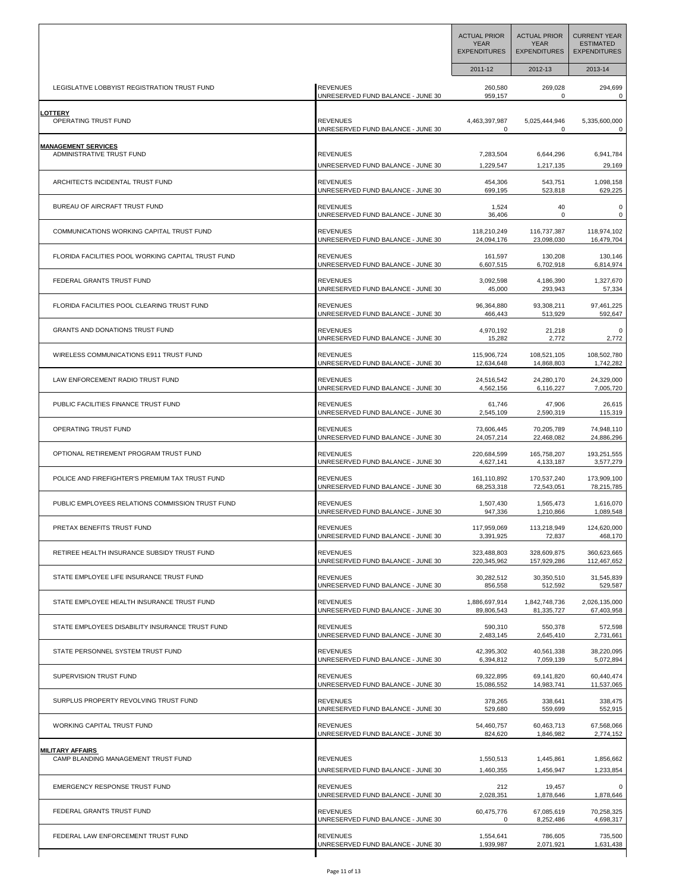|                                                    |                                   | <b>ACTUAL PRIOR</b><br><b>YEAR</b><br><b>EXPENDITURES</b> | <b>ACTUAL PRIOR</b><br><b>YEAR</b><br><b>EXPENDITURES</b> | <b>CURRENT YEAR</b><br><b>ESTIMATED</b><br><b>EXPENDITURES</b> |
|----------------------------------------------------|-----------------------------------|-----------------------------------------------------------|-----------------------------------------------------------|----------------------------------------------------------------|
|                                                    |                                   | 2011-12                                                   | 2012-13                                                   | 2013-14                                                        |
| LEGISLATIVE LOBBYIST REGISTRATION TRUST FUND       | <b>REVENUES</b>                   | 260,580                                                   | 269,028                                                   | 294,699                                                        |
|                                                    | UNRESERVED FUND BALANCE - JUNE 30 | 959,157                                                   | 0                                                         | 0                                                              |
| <b>LOTTERY</b>                                     | <b>REVENUES</b>                   | 4,463,397,987                                             | 5,025,444,946                                             | 5,335,600,000                                                  |
| OPERATING TRUST FUND                               | UNRESERVED FUND BALANCE - JUNE 30 | 0                                                         | $\mathbf 0$                                               | 0                                                              |
| <u>MANAGEMENT SERVICES</u>                         | <b>REVENUES</b>                   | 7,283,504                                                 | 6,644,296                                                 | 6,941,784                                                      |
| ADMINISTRATIVE TRUST FUND                          | UNRESERVED FUND BALANCE - JUNE 30 | 1,229,547                                                 | 1,217,135                                                 | 29,169                                                         |
| ARCHITECTS INCIDENTAL TRUST FUND                   | <b>REVENUES</b>                   | 454,306                                                   | 543,751                                                   | 1,098,158                                                      |
|                                                    | UNRESERVED FUND BALANCE - JUNE 30 | 699,195                                                   | 523,818                                                   | 629,225                                                        |
| BUREAU OF AIRCRAFT TRUST FUND                      | <b>REVENUES</b>                   | 1,524                                                     | 40                                                        | $\pmb{0}$                                                      |
|                                                    | UNRESERVED FUND BALANCE - JUNE 30 | 36,406                                                    | 0                                                         | 0                                                              |
| COMMUNICATIONS WORKING CAPITAL TRUST FUND          | <b>REVENUES</b>                   | 118,210,249                                               | 116,737,387                                               | 118,974,102                                                    |
|                                                    | UNRESERVED FUND BALANCE - JUNE 30 | 24,094,176                                                | 23,098,030                                                | 16,479,704                                                     |
| FLORIDA FACILITIES POOL WORKING CAPITAL TRUST FUND | <b>REVENUES</b>                   | 161,597                                                   | 130,208                                                   | 130,146                                                        |
|                                                    | UNRESERVED FUND BALANCE - JUNE 30 | 6,607,515                                                 | 6,702,918                                                 | 6,814,974                                                      |
| FEDERAL GRANTS TRUST FUND                          | <b>REVENUES</b>                   | 3,092,598                                                 | 4,186,390                                                 | 1,327,670                                                      |
|                                                    | UNRESERVED FUND BALANCE - JUNE 30 | 45,000                                                    | 293,943                                                   | 57,334                                                         |
| FLORIDA FACILITIES POOL CLEARING TRUST FUND        | <b>REVENUES</b>                   | 96,364,880                                                | 93,308,211                                                | 97,461,225                                                     |
|                                                    | UNRESERVED FUND BALANCE - JUNE 30 | 466,443                                                   | 513,929                                                   | 592,647                                                        |
| GRANTS AND DONATIONS TRUST FUND                    | <b>REVENUES</b>                   | 4,970,192                                                 | 21,218                                                    | 0                                                              |
|                                                    | UNRESERVED FUND BALANCE - JUNE 30 | 15,282                                                    | 2,772                                                     | 2,772                                                          |
| WIRELESS COMMUNICATIONS E911 TRUST FUND            | <b>REVENUES</b>                   | 115,906,724                                               | 108,521,105                                               | 108,502,780                                                    |
|                                                    | UNRESERVED FUND BALANCE - JUNE 30 | 12,634,648                                                | 14,868,803                                                | 1,742,282                                                      |
| LAW ENFORCEMENT RADIO TRUST FUND                   | <b>REVENUES</b>                   | 24,516,542                                                | 24,280,170                                                | 24,329,000                                                     |
|                                                    | UNRESERVED FUND BALANCE - JUNE 30 | 4,562,156                                                 | 6,116,227                                                 | 7,005,720                                                      |
| PUBLIC FACILITIES FINANCE TRUST FUND               | <b>REVENUES</b>                   | 61,746                                                    | 47,906                                                    | 26,615                                                         |
|                                                    | UNRESERVED FUND BALANCE - JUNE 30 | 2,545,109                                                 | 2,590,319                                                 | 115,319                                                        |
| OPERATING TRUST FUND                               | <b>REVENUES</b>                   | 73,606,445                                                | 70,205,789                                                | 74,948,110                                                     |
|                                                    | UNRESERVED FUND BALANCE - JUNE 30 | 24,057,214                                                | 22,468,082                                                | 24,886,296                                                     |
| OPTIONAL RETIREMENT PROGRAM TRUST FUND             | <b>REVENUES</b>                   | 220,684,599                                               | 165,758,207                                               | 193,251,555                                                    |
|                                                    | UNRESERVED FUND BALANCE - JUNE 30 | 4,627,141                                                 | 4,133,187                                                 | 3,577,279                                                      |
| POLICE AND FIREFIGHTER'S PREMIUM TAX TRUST FUND    | <b>REVENUES</b>                   | 161,110,892                                               | 170,537,240                                               | 173,909,100                                                    |
|                                                    | UNRESERVED FUND BALANCE - JUNE 30 | 68,253,318                                                | 72,543,051                                                | 78,215,785                                                     |
| PUBLIC EMPLOYEES RELATIONS COMMISSION TRUST FUND   | <b>REVENUES</b>                   | 1,507,430                                                 | 1,565,473                                                 | 1,616,070                                                      |
|                                                    | UNRESERVED FUND BALANCE - JUNE 30 | 947,336                                                   | 1,210,866                                                 | 1,089,548                                                      |
| PRETAX BENEFITS TRUST FUND                         | <b>REVENUES</b>                   | 117,959,069                                               | 113,218,949                                               | 124,620,000                                                    |
|                                                    | UNRESERVED FUND BALANCE - JUNE 30 | 3,391,925                                                 | 72,837                                                    | 468,170                                                        |
| RETIREE HEALTH INSURANCE SUBSIDY TRUST FUND        | <b>REVENUES</b>                   | 323,488,803                                               | 328,609,875                                               | 360,623,665                                                    |
|                                                    | UNRESERVED FUND BALANCE - JUNE 30 | 220,345,962                                               | 157,929,286                                               | 112,467,652                                                    |
| STATE EMPLOYEE LIFE INSURANCE TRUST FUND           | <b>REVENUES</b>                   | 30,282,512                                                | 30,350,510                                                | 31,545,839                                                     |
|                                                    | UNRESERVED FUND BALANCE - JUNE 30 | 856,558                                                   | 512,592                                                   | 529,587                                                        |
| STATE EMPLOYEE HEALTH INSURANCE TRUST FUND         | <b>REVENUES</b>                   | 1,886,697,914                                             | 1,842,748,736                                             | 2,026,135,000                                                  |
|                                                    | UNRESERVED FUND BALANCE - JUNE 30 | 89,806,543                                                | 81,335,727                                                | 67,403,958                                                     |
| STATE EMPLOYEES DISABILITY INSURANCE TRUST FUND    | <b>REVENUES</b>                   | 590,310                                                   | 550,378                                                   | 572,598                                                        |
|                                                    | UNRESERVED FUND BALANCE - JUNE 30 | 2,483,145                                                 | 2,645,410                                                 | 2,731,661                                                      |
| STATE PERSONNEL SYSTEM TRUST FUND                  | <b>REVENUES</b>                   | 42.395.302                                                | 40,561,338                                                | 38,220,095                                                     |
|                                                    | UNRESERVED FUND BALANCE - JUNE 30 | 6,394,812                                                 | 7,059,139                                                 | 5,072,894                                                      |
| SUPERVISION TRUST FUND                             | <b>REVENUES</b>                   | 69,322,895                                                | 69,141,820                                                | 60,440,474                                                     |
|                                                    | UNRESERVED FUND BALANCE - JUNE 30 | 15,086,552                                                | 14,983,741                                                | 11,537,065                                                     |
| SURPLUS PROPERTY REVOLVING TRUST FUND              | <b>REVENUES</b>                   | 378,265                                                   | 338,641                                                   | 338,475                                                        |
|                                                    | UNRESERVED FUND BALANCE - JUNE 30 | 529,680                                                   | 559,699                                                   | 552,915                                                        |
| WORKING CAPITAL TRUST FUND                         | <b>REVENUES</b>                   | 54,460,757                                                | 60,463,713                                                | 67,568,066                                                     |
|                                                    | UNRESERVED FUND BALANCE - JUNE 30 | 824,620                                                   | 1,846,982                                                 | 2,774,152                                                      |
| <b>MILITARY AFFAIRS</b>                            | <b>REVENUES</b>                   | 1,550,513                                                 | 1,445,861                                                 | 1,856,662                                                      |
| CAMP BLANDING MANAGEMENT TRUST FUND                | UNRESERVED FUND BALANCE - JUNE 30 | 1,460,355                                                 | 1,456,947                                                 | 1,233,854                                                      |
| <b>EMERGENCY RESPONSE TRUST FUND</b>               | <b>REVENUES</b>                   | 212                                                       | 19,457                                                    | 0                                                              |
|                                                    | UNRESERVED FUND BALANCE - JUNE 30 | 2,028,351                                                 | 1,878,646                                                 | 1,878,646                                                      |
| FEDERAL GRANTS TRUST FUND                          | <b>REVENUES</b>                   | 60,475,776                                                | 67,085,619                                                | 70,258,325                                                     |
|                                                    | UNRESERVED FUND BALANCE - JUNE 30 | 0                                                         | 8,252,486                                                 | 4,698,317                                                      |
| FEDERAL LAW ENFORCEMENT TRUST FUND                 | <b>REVENUES</b>                   | 1,554,641                                                 | 786,605                                                   | 735,500                                                        |
|                                                    | UNRESERVED FUND BALANCE - JUNE 30 | 1,939,987                                                 | 2,071,921                                                 | 1,631,438                                                      |
|                                                    |                                   |                                                           |                                                           |                                                                |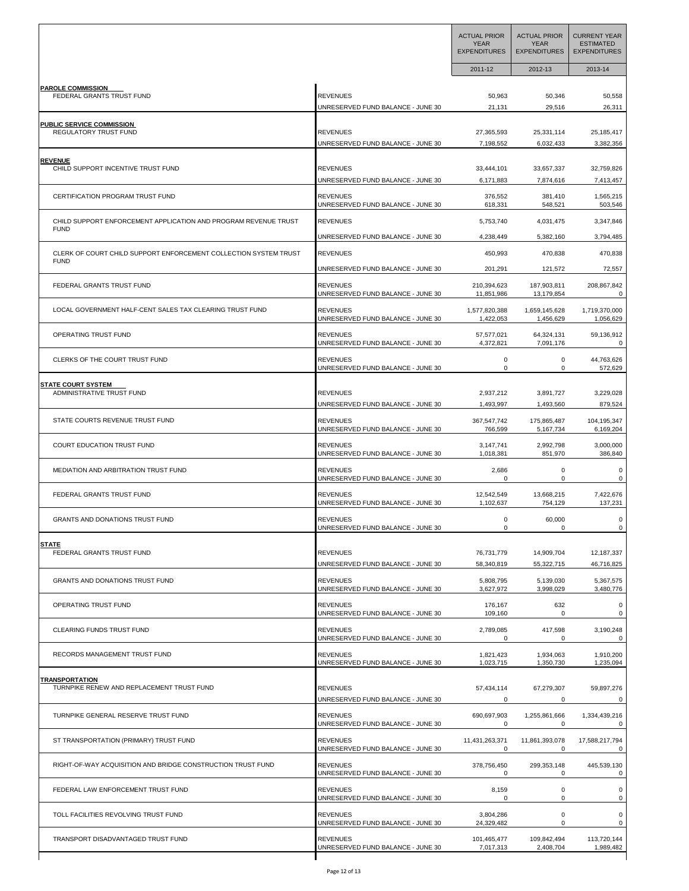|                                                                                |                                                                                           | <b>ACTUAL PRIOR</b><br><b>YEAR</b><br><b>EXPENDITURES</b> | <b>ACTUAL PRIOR</b><br><b>YEAR</b><br><b>EXPENDITURES</b> | <b>CURRENT YEAR</b><br><b>ESTIMATED</b><br><b>EXPENDITURES</b> |
|--------------------------------------------------------------------------------|-------------------------------------------------------------------------------------------|-----------------------------------------------------------|-----------------------------------------------------------|----------------------------------------------------------------|
|                                                                                |                                                                                           | 2011-12                                                   | 2012-13                                                   | 2013-14                                                        |
| <b>PAROLE COMMISSION</b>                                                       | <b>REVENUES</b>                                                                           | 50,963                                                    | 50,346                                                    | 50,558                                                         |
| FEDERAL GRANTS TRUST FUND                                                      | UNRESERVED FUND BALANCE - JUNE 30                                                         | 21,131                                                    | 29,516                                                    | 26,311                                                         |
| PUBLIC SERVICE COMMISSION                                                      | <b>REVENUES</b>                                                                           | 27,365,593                                                | 25,331,114                                                | 25,185,417                                                     |
| REGULATORY TRUST FUND                                                          | UNRESERVED FUND BALANCE - JUNE 30                                                         | 7,198,552                                                 | 6,032,433                                                 | 3,382,356                                                      |
| <b>REVENUE</b>                                                                 | <b>REVENUES</b>                                                                           | 33,444,101                                                | 33,657,337                                                | 32,759,826                                                     |
| CHILD SUPPORT INCENTIVE TRUST FUND                                             | UNRESERVED FUND BALANCE - JUNE 30                                                         | 6,171,883                                                 | 7,874,616                                                 | 7,413,457                                                      |
| CERTIFICATION PROGRAM TRUST FUND                                               | <b>REVENUES</b>                                                                           | 376,552                                                   | 381,410                                                   | 1,565,215                                                      |
|                                                                                | UNRESERVED FUND BALANCE - JUNE 30                                                         | 618,331                                                   | 548,521                                                   | 503,546                                                        |
| CHILD SUPPORT ENFORCEMENT APPLICATION AND PROGRAM REVENUE TRUST<br><b>FUND</b> | <b>REVENUES</b>                                                                           | 5,753,740                                                 | 4,031,475                                                 | 3,347,846                                                      |
| CLERK OF COURT CHILD SUPPORT ENFORCEMENT COLLECTION SYSTEM TRUST               | JNRESERVED FUND BALANCE - JUNE 30                                                         | 4,238,449                                                 | 5,382,160                                                 | 3,794,485                                                      |
| <b>FUND</b>                                                                    | <b>REVENUES</b>                                                                           | 450,993                                                   | 470,838                                                   | 470,838                                                        |
| FEDERAL GRANTS TRUST FUND                                                      | UNRESERVED FUND BALANCE - JUNE 30<br><b>REVENUES</b><br>UNRESERVED FUND BALANCE - JUNE 30 | 201,291<br>210,394,623                                    | 121,572<br>187,903,811<br>13,179,854                      | 72,557<br>208,867,842<br>0                                     |
| LOCAL GOVERNMENT HALF-CENT SALES TAX CLEARING TRUST FUND                       | <b>REVENUES</b><br>UNRESERVED FUND BALANCE - JUNE 30                                      | 11,851,986<br>1,577,820,388<br>1,422,053                  | 1,659,145,628<br>1,456,629                                | 1,719,370,000<br>1,056,629                                     |
| OPERATING TRUST FUND                                                           | <b>REVENUES</b>                                                                           | 57,577,021                                                | 64,324,131                                                | 59,136,912                                                     |
|                                                                                | UNRESERVED FUND BALANCE - JUNE 30                                                         | 4,372,821                                                 | 7,091,176                                                 | 0                                                              |
| CLERKS OF THE COURT TRUST FUND                                                 | <b>REVENUES</b>                                                                           | 0                                                         | 0                                                         | 44,763,626                                                     |
|                                                                                | UNRESERVED FUND BALANCE - JUNE 30                                                         | 0                                                         | 0                                                         | 572,629                                                        |
| <b>STATE COURT SYSTEM</b>                                                      | <b>REVENUES</b>                                                                           | 2,937,212                                                 | 3,891,727                                                 | 3,229,028                                                      |
| ADMINISTRATIVE TRUST FUND                                                      | UNRESERVED FUND BALANCE - JUNE 30                                                         | 1,493,997                                                 | 1,493,560                                                 | 879,524                                                        |
| STATE COURTS REVENUE TRUST FUND                                                | <b>REVENUES</b>                                                                           | 367,547,742                                               | 175,865,487                                               | 104,195,347                                                    |
|                                                                                | UNRESERVED FUND BALANCE - JUNE 30                                                         | 766,599                                                   | 5, 167, 734                                               | 6,169,204                                                      |
| COURT EDUCATION TRUST FUND                                                     | <b>REVENUES</b>                                                                           | 3,147,741                                                 | 2,992,798                                                 | 3,000,000                                                      |
|                                                                                | UNRESERVED FUND BALANCE - JUNE 30                                                         | 1,018,381                                                 | 851,970                                                   | 386,840                                                        |
| MEDIATION AND ARBITRATION TRUST FUND                                           | <b>REVENUES</b>                                                                           | 2,686                                                     | 0                                                         | 0                                                              |
|                                                                                | UNRESERVED FUND BALANCE - JUNE 30                                                         | 0                                                         | 0                                                         | 0                                                              |
| FEDERAL GRANTS TRUST FUND                                                      | <b>REVENUES</b>                                                                           | 12,542,549                                                | 13,668,215                                                | 7,422,676                                                      |
|                                                                                | UNRESERVED FUND BALANCE - JUNE 30                                                         | 1,102,637                                                 | 754,129                                                   | 137,231                                                        |
| <b>GRANTS AND DONATIONS TRUST FUND</b>                                         | <b>REVENUES</b><br>UNRESERVED FUND BALANCE - JUNE 30                                      | 0                                                         | 60,000                                                    | 0<br>0                                                         |
| <b>STATE</b>                                                                   | <b>REVENUES</b>                                                                           | 76,731,779                                                | 14,909,704                                                | 12,187,337                                                     |
| FEDERAL GRANTS TRUST FUND                                                      | UNRESERVED FUND BALANCE - JUNE 30                                                         | 58,340,819                                                | 55,322,715                                                | 46,716,825                                                     |
| GRANTS AND DONATIONS TRUST FUND                                                | <b>REVENUES</b>                                                                           | 5,808,795                                                 | 5,139,030                                                 | 5,367,575                                                      |
|                                                                                | UNRESERVED FUND BALANCE - JUNE 30                                                         | 3,627,972                                                 | 3,998,029                                                 | 3,480,776                                                      |
| OPERATING TRUST FUND                                                           | <b>REVENUES</b>                                                                           | 176,167                                                   | 632                                                       | 0                                                              |
|                                                                                | UNRESERVED FUND BALANCE - JUNE 30                                                         | 109,160                                                   | $\mathbf 0$                                               | 0                                                              |
| CLEARING FUNDS TRUST FUND                                                      | <b>REVENUES</b>                                                                           | 2,789,085                                                 | 417,598                                                   | 3,190,248                                                      |
|                                                                                | UNRESERVED FUND BALANCE - JUNE 30                                                         | 0                                                         | 0                                                         | 0                                                              |
| RECORDS MANAGEMENT TRUST FUND                                                  | <b>REVENUES</b>                                                                           | 1,821,423                                                 | 1,934,063                                                 | 1,910,200                                                      |
|                                                                                | UNRESERVED FUND BALANCE - JUNE 30                                                         | 1,023,715                                                 | 1,350,730                                                 | 1,235,094                                                      |
| <b>TRANSPORTATION</b>                                                          | <b>REVENUES</b>                                                                           | 57,434,114                                                | 67,279,307                                                | 59,897,276                                                     |
| TURNPIKE RENEW AND REPLACEMENT TRUST FUND                                      | UNRESERVED FUND BALANCE - JUNE 30                                                         | 0                                                         | 0                                                         | 0                                                              |
| TURNPIKE GENERAL RESERVE TRUST FUND                                            | REVENUES                                                                                  | 690,697,903                                               | 1,255,861,666                                             | 1,334,439,216                                                  |
|                                                                                | UNRESERVED FUND BALANCE - JUNE 30                                                         | 0                                                         | 0                                                         | 0                                                              |
| ST TRANSPORTATION (PRIMARY) TRUST FUND                                         | REVENUES                                                                                  | 11,431,263,371                                            | 11,861,393,078                                            | 17,588,217,794                                                 |
|                                                                                | UNRESERVED FUND BALANCE - JUNE 30                                                         | 0                                                         | 0                                                         | 0                                                              |
| RIGHT-OF-WAY ACQUISITION AND BRIDGE CONSTRUCTION TRUST FUND                    | <b>REVENUES</b>                                                                           | 378,756,450                                               | 299,353,148                                               | 445,539,130                                                    |
|                                                                                | UNRESERVED FUND BALANCE - JUNE 30                                                         | 0                                                         | 0                                                         | 0                                                              |
| FEDERAL LAW ENFORCEMENT TRUST FUND                                             | <b>REVENUES</b>                                                                           | 8,159                                                     | $\mathsf 0$                                               | $\mathsf 0$                                                    |
|                                                                                | UNRESERVED FUND BALANCE - JUNE 30                                                         | $\mathbf 0$                                               | 0                                                         | 0                                                              |
| TOLL FACILITIES REVOLVING TRUST FUND                                           | <b>REVENUES</b>                                                                           | 3,804,286                                                 | 0                                                         | 0                                                              |
|                                                                                | UNRESERVED FUND BALANCE - JUNE 30                                                         | 24,329,482                                                | 0                                                         | 0                                                              |
| TRANSPORT DISADVANTAGED TRUST FUND                                             | <b>REVENUES</b>                                                                           | 101,465,477                                               | 109,842,494                                               | 113,720,144                                                    |
|                                                                                | UNRESERVED FUND BALANCE - JUNE 30                                                         | 7,017,313                                                 | 2,408,704                                                 | 1,989,482                                                      |